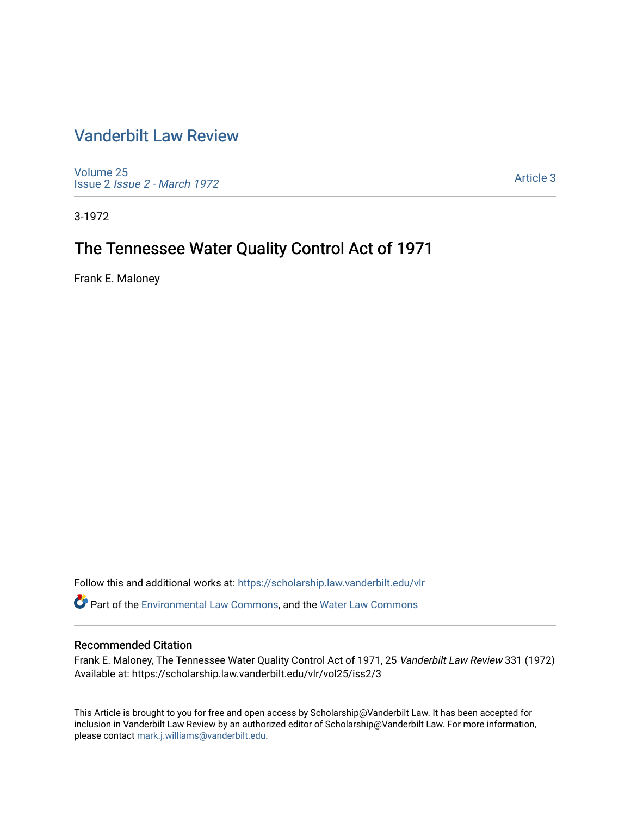## [Vanderbilt Law Review](https://scholarship.law.vanderbilt.edu/vlr)

[Volume 25](https://scholarship.law.vanderbilt.edu/vlr/vol25) Issue 2 [Issue 2 - March 1972](https://scholarship.law.vanderbilt.edu/vlr/vol25/iss2) 

[Article 3](https://scholarship.law.vanderbilt.edu/vlr/vol25/iss2/3) 

3-1972

# The Tennessee Water Quality Control Act of 1971

Frank E. Maloney

Follow this and additional works at: [https://scholarship.law.vanderbilt.edu/vlr](https://scholarship.law.vanderbilt.edu/vlr?utm_source=scholarship.law.vanderbilt.edu%2Fvlr%2Fvol25%2Fiss2%2F3&utm_medium=PDF&utm_campaign=PDFCoverPages)

Part of the [Environmental Law Commons](http://network.bepress.com/hgg/discipline/599?utm_source=scholarship.law.vanderbilt.edu%2Fvlr%2Fvol25%2Fiss2%2F3&utm_medium=PDF&utm_campaign=PDFCoverPages), and the [Water Law Commons](http://network.bepress.com/hgg/discipline/887?utm_source=scholarship.law.vanderbilt.edu%2Fvlr%2Fvol25%2Fiss2%2F3&utm_medium=PDF&utm_campaign=PDFCoverPages) 

## Recommended Citation

Frank E. Maloney, The Tennessee Water Quality Control Act of 1971, 25 Vanderbilt Law Review 331 (1972) Available at: https://scholarship.law.vanderbilt.edu/vlr/vol25/iss2/3

This Article is brought to you for free and open access by Scholarship@Vanderbilt Law. It has been accepted for inclusion in Vanderbilt Law Review by an authorized editor of Scholarship@Vanderbilt Law. For more information, please contact [mark.j.williams@vanderbilt.edu.](mailto:mark.j.williams@vanderbilt.edu)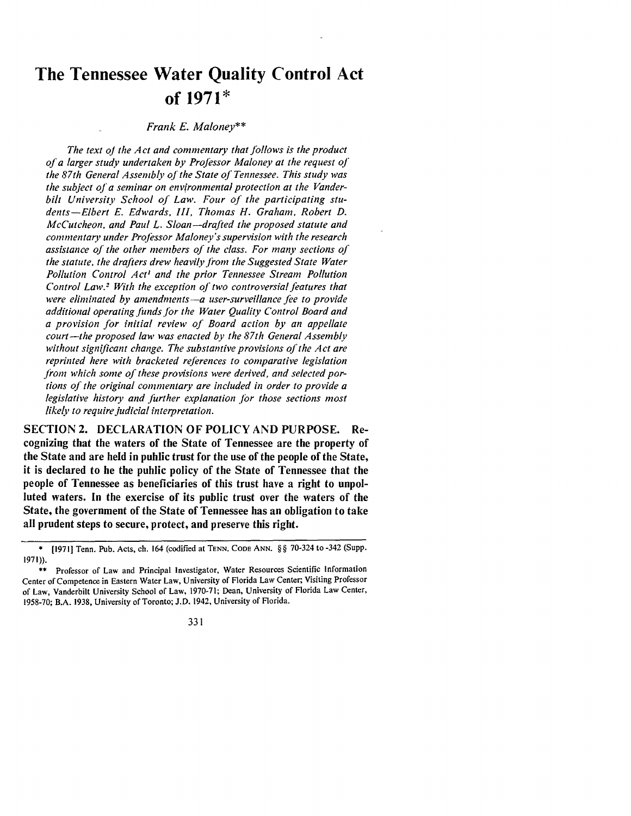# **The Tennessee Water Quality Control Act of 1971\***

#### *Frank E. Maloney\*\**

The text of the Act and commentary that follows is the product *of a larger study undertaken by Professor Maloney at the request of the 87th General Assembly of the State of Tennessee. This study was the subject of a seminar on environmental protection at the Vanderbilt University School of Law. Four of the participating students-Elbert E. Edwards, III, Thomas H. Graham, Robert D. McCutcheon, and Paul L. Sloan-drafted the proposed statute and commentary under Professor Maloney's supervision with the research assistance of the other members of the class. For many sections of the statute, the drafters drew heavily from the Suggested State Water Pollution Control Act' and the prior Tennessee Stream Pollution Control Law.! With the exception of two controversial features that were eliminated by amendments-a user-surveillance fee to provide additional operating Junds jor the Water Quality Control Board and a provision for initial review of Board action by an appellate court- the proposed law was enacted by the 87th General Assembly without significant change. The substantive provisions of the Act are reprinted here with bracketed references to comparative legislation from which some of these provisions were derived, and selected portions of the original commentary are included in order to provide a legislative history and Jurther explanation Jbr those sections most likely to require judicial interpretation.*

SECTION2. DECLARATION OF POLICY AND PURPOSE. Recognizing that the waters of the State of Tennessee are the property of the State and are held in public trust for the use of the people of the State, it is declared to be the public policy of the State of Tennessee that the people of Tennessee as beneficiaries of this trust have a right to unpolluted waters. In the exercise of its public trust over the waters of the State, the government of the State of Tennessee has an obligation to take all prudent steps to secure, protect, and preserve this right.

331

<sup>\*</sup> [19711 Tenn. Pub. Acts, ch. 164 (codified at **TENN. CODE** ANN. §§ 70-324 to -342 (Supp. 1971)).

<sup>\*\*</sup> Professor of Law and Principal Investigator, Water Resources Scientific Information Center of Competence in Eastern Water Law, University **of** Florida Law Center; Visiting Professor of Law, Vanderbilt University School **of** Law, 1970-71; Dean, University **of** Florida Law Center, 1958-70; B.A. 1938, University of Toronto; J.D. 1942, University of Florida.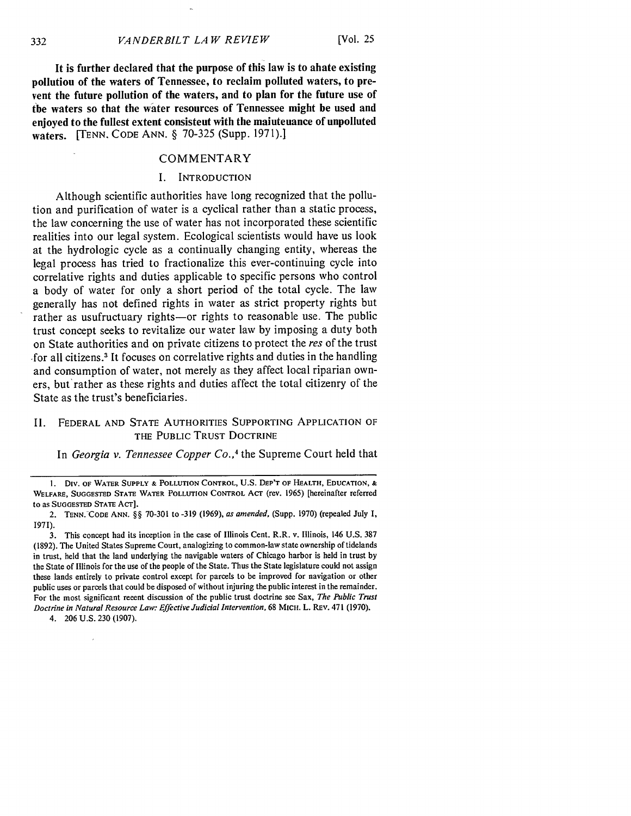**It is further declared that the purpose of this law is to abate existing pollution of the waters of Tennessee, to reclaim polluted waters, to prevent the future pollution of the waters, and to plan for the future use of the waters so that the water resources of Tennessee might be used and enjoyed to the fullest extent consistent with the maintenance of unpolluted waters. [TENN. CODE ANN. § 70-325 (Supp. 1971).]**

#### COMMENTARY

#### **I.** INTRODUCTION

Although scientific authorities have long recognized that the pollution and purification of water is a cyclical rather than a static process, the law concerning the use of water has not incorporated these scientific realities into our legal system. Ecological scientists would have us look at the hydrologic cycle as a continually changing entity, whereas the legal process has tried to fractionalize this ever-continuing cycle into correlative rights and duties applicable to specific persons who control a body of water for only a short period of the total cycle. The law generally has not defined rights in water as strict property rights but rather as usufructuary rights-or rights to reasonable use. The public trust concept seeks to revitalize our water law **by** imposing a duty both on State authorities and on private citizens to protect the *res* of the trust .for all citizens.3 It focuses on correlative rights and duties in the handling and consumption of water, not merely as they affect local riparian owners, but' rather as these rights and duties affect the total citizenry of the State as the trust's beneficiaries.

## II. FEDERAL AND STATE AUTHORITIES SUPPORTING APPLICATION OF THE PUBLIC TRUST DOCTRINE

In *Georgia v. Tennessee Copper Co.,'* the Supreme Court held that

4. 206 U.S. 230 (1907).

**I.** Div. OF WATER SUPPLY & POLLUTION CONTROL, U.S. DEP'T OF HEALTH, EDUCATION, & WELFARE, SUGGESTED STATE WATER **POLLUTION** CONTROL ACT (rev. 1965) [hereinafter referred to **as** SUGGESTED STATE ACT].

<sup>2.</sup> TENN. CODE ANN. **§§** 70-301 to -319 (1969), as *amended,* (Supp. 1970) (repealed July 1, 1971).

<sup>3.</sup> This concept had its inception in the case of Illinois Cent. R.R. v. Illinois, 146 U.S. 387 **(1892).** The United States Supreme Court, analogizing to common-law state ownership of tidelands in trust, held that the land underlying the navigable waters of Chicago harbor is held in trust **by** the State of Illinois for the use of the people of the State. Thus the State legislature could not assign these lands entirely to private control except for parcels to be improved for navigation or other public uses or parcels that could be disposed of without injuring the public interest in the remainder. For the most significant recent discussion of the public trust doctrine see Sax, *The Public Trust Doctrine in Natural Resource Law: Effective Judicial Intervention,* 68 MICH. L. REv. 471 (1970).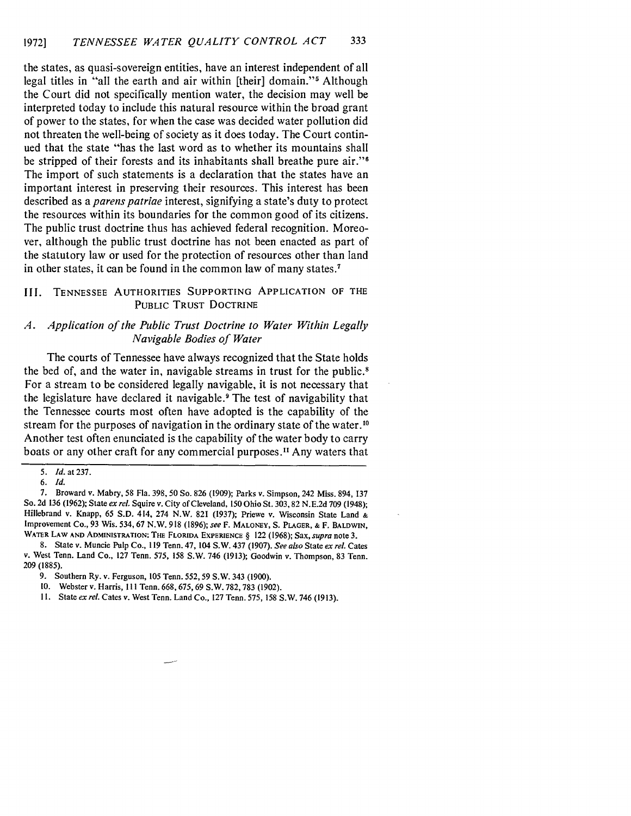the states, as quasi-sovereign entities, have an interest independent of all legal titles in "all the earth and air within [their] domain."<sup>5</sup> Although the Court did not specifically mention water, the decision may well be interpreted today to include this natural resource within the broad grant of power to the states, for when the case was decided water pollution did not threaten the well-being of society as it does today. The Court continued that the state "has the last word as to whether its mountains shall be stripped of their forests and its inhabitants shall breathe pure air."<sup>6</sup> The import of such statements is a declaration that the states have an important interest in preserving their resources. This interest has been described as a *parens patriae* interest, signifying a state's duty to protect the resources within its boundaries for the common good of its citizens. The public trust doctrine thus has achieved federal recognition. Moreover, although the public trust doctrine has not been enacted as part of the statutory law or used for the protection of resources other than land in other states, it can be found in the common law of many states.7

## III. **TENNESSEE** AUTHORITIES SUPPORTING APPLICATION OF THE PUBLIC TRUST DOCTRINE

## *A. Application of the Public Trust Doctrine to Water Within Legally Navigable Bodies of Water*

The courts of Tennessee have always recognized that the State holds the bed of, and the water in, navigable streams in trust for the public.<sup>8</sup> For a stream to be considered legally navigable, it is not necessary that the legislature have declared it navigable? The test of navigability that the Tennessee courts most often have adopted is the capability of the stream for the purposes of navigation in the ordinary state of the water.<sup>10</sup> Another test often enunciated is the capability of the water body to carry boats or any other craft for any commercial purposes.<sup>11</sup> Any waters that

**7.** Broward v. Mabry, **58** Fla. **398, 50** So. **826 (1909);** Parks v. Simpson, 242 Miss. 894, **137** So. **2d 136 (1962);** State *ex rel.* Squire v. City of Cleveland, **150** Ohio St. **303, 82 N.E.2d 709** (1948); Hillebrand v. Knapp, 65 **S.D.** 414, 274 N.W. **821 (1937);** Priewe v. Wisconsin State Land **&** Improvement Co., **93** Wis. 534,67 N.W. 918 (1896); *see* F. **MALONEY, S.** PLAGER, **&** F. BALDWIN, WATER **LAW AND ADMINISTRATION:** THE FLORIDA EXPERIENCE § 122 (1968); Sax, *supra* note **3.**

8. State v. Muncie **Pulp** Co., 119 Tenn. 47, 104 S.W. 437 (1907). *See also* State ex *rel.* Cates v. West Tenn. Land Co., 127 Tenn. **575,** 158 S.W. 746 (1913); Goodwin v. Thompson, 83 Tenn. **209** (1885).

**11.** State *ex* rel. Cates v. West Tenn. Land Co., 127 Tenn. 575, 158 S.W. 746 (1913).

*<sup>5.</sup> Id.* at **237.**

*<sup>6.</sup> Id.*

<sup>9.</sup> Southern Ry. v. Ferguson, 105 Tenn. **552,59** S.W. 343 (1900).

<sup>10.</sup> Webster v. Harris, **I I** Tenn. 668, 675, 69 S.W. 782, 783 (1902).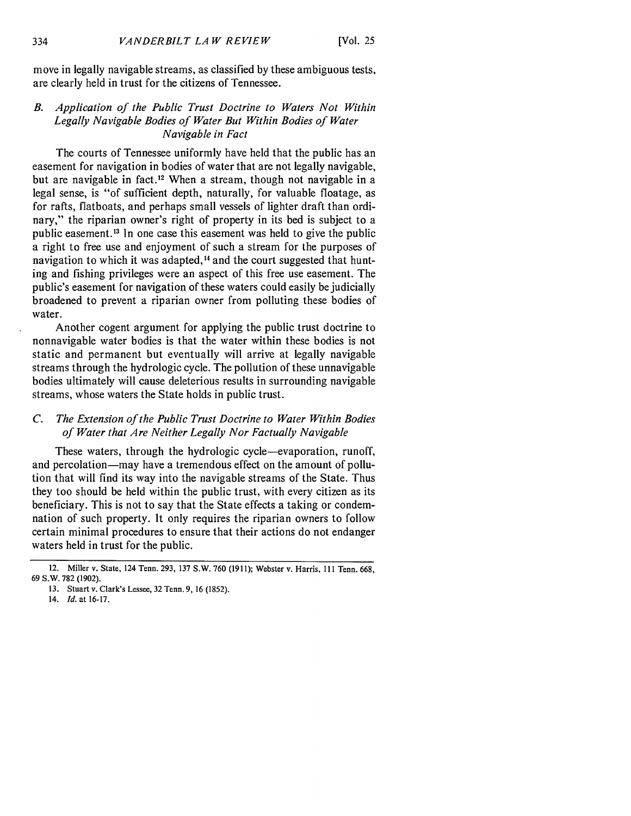move in legally navigable streams, as classified by these ambiguous tests, are clearly held in trust for the citizens of Tennessee.

## *B. Application of the Public Trust Doctrine to Waters Not Within Legally Navigable Bodies of Water But Within Bodies of Water Navigable in Fact*

The courts of Tennessee uniformly have held that the public has an easement for navigation in bodies of water that are not legally navigable, but are navigable in fact.<sup>12</sup> When a stream, though not navigable in a legal sense, is "of sufficient depth, naturally, for valuable floatage, as for rafts, flatboats, and perhaps small vessels of lighter draft than ordinary," the riparian owner's right of property in its bed is subject to a public easement.<sup>13</sup> In one case this easement was held to give the public a right to free use and enjoyment of such a stream for the purposes of navigation to which it was adapted,<sup>14</sup> and the court suggested that hunting and fishing privileges were an aspect of this free use easement. The public's easement for navigation of these waters could easily be judicially broadened to prevent a riparian owner from polluting these bodies of water.

Another cogent argument for applying the public trust doctrine to nonnavigable water bodies is that the water within these bodies is not static and permanent but eventually will arrive at legally navigable streams through the hydrologic cycle. The pollution of these unnavigable bodies ultimately will cause deleterious results in surrounding navigable streams, whose waters the State holds in public trust.

## *C. The Extension of the Public Trust Doctrine to Water Within Bodies of Water that Are Neither Legally Nor Factually Navigable*

These waters, through the hydrologic cycle-evaporation, runoff, and percolation—may have a tremendous effect on the amount of pollution that will find its way into the navigable streams of the State. Thus they too should be held within the public trust, with every citizen as its beneficiary. This is not to say that the State effects a taking or condemnation of such property. It only requires the riparian owners to follow certain minimal procedures to ensure that their actions do not endanger waters held in trust for the public.

<sup>12.</sup> Miller v. State, 124 Tenn. **293, 137** S.W. **760 (1911);** Webster v. Harris, 111 Tenn. **668, 69** S.W. **782 (1902).**

**<sup>13.</sup>** Stuart v. Clark's Lessee, **32** Tenn. **9, 16 (1852).**

<sup>14.</sup> *Id.* at **16-17.**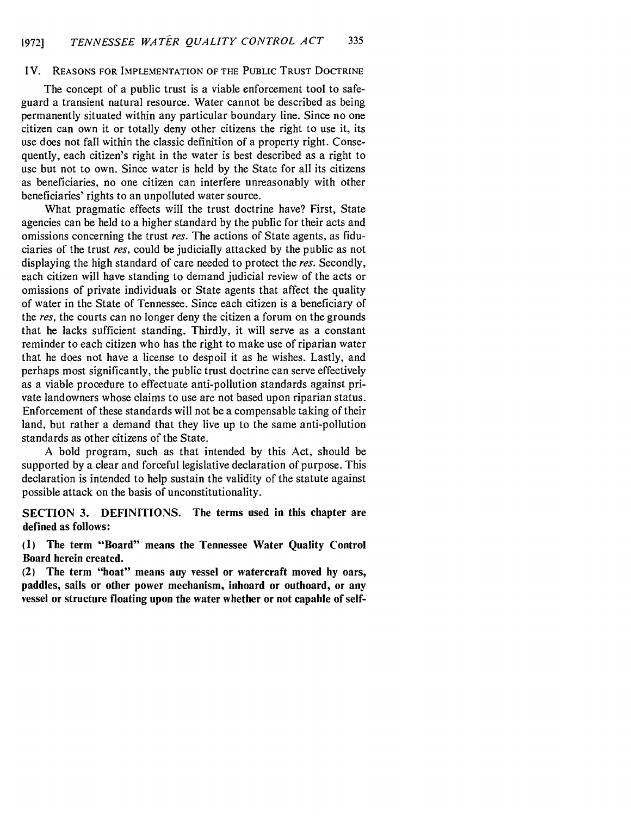#### IV. **REASONS** FOR IMPLEMENTATION OF THE PUBLIC TRUST DOCTRINE

The concept of a public trust is a viable enforcement tool to safeguard a transient natural resource. Water cannot be described as being permanently situated within any particular boundary line. Since no one citizen can own it or totally deny other citizens the right to use it, its use does not fall within the classic definition of a property right. Consequently, each citizen's right in the water is best described as a right to use but not to own. Since water is held by the State for all its citizens as beneficiaries, no one citizen can interfere unreasonably with other beneficiaries' rights to an unpolluted water source.

What pragmatic effects will the trust doctrine have? First, State agencies can be held to a higher standard by the public for their acts and omissions concerning the trust res. The actions of State agents, as fiduciaries of the trust res, could be judicially attacked by the public as not displaying the high standard of care needed to protect the res. Secondly, each citizen will have standing to demand judicial review of the acts or omissions of private individuals or State agents that affect the quality of water in the State of Tennessee. Since each citizen is a beneficiary of the res, the courts can no longer deny the citizen a forum on the grounds that he lacks sufficient standing. Thirdly, it will serve as a constant reminder to each citizen who has the right to make use of riparian water that he does not have a license to despoil it as he wishes. Lastly, and perhaps most significantly, the public trust doctrine can serve effectively as a viable procedure to effectuate anti-pollution standards against private landowners whose claims to use are not based upon riparian status. Enforcement of these standards will not be a compensable taking of their land, but rather a demand that they live up to the same anti-pollution standards as other citizens of the State.

A bold program, such as that intended by this Act, should be supported by a clear and forceful legislative declaration of purpose. This declaration is intended to help sustain the validity of the statute against possible attack on the basis of unconstitutionality.

**SECTION 3. DEFINITIONS. The** terms used **in this chapter are defined as follows:**

**(I) The term "Board"** means **the** Tennessee **Water Quality Control Board** herein created.

**(2) The term "boat"** means **any** vessel **or watercraft moved by oars,** paddles, sails **or other power mechanism, inboard or outboard, or** any vessel **or structure floating upon the water whether or not capable of self-**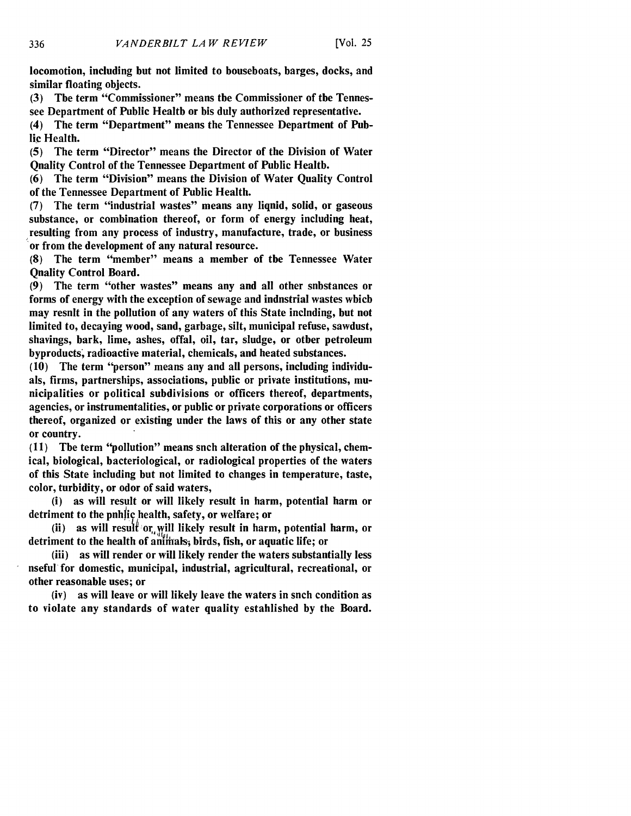locomotion, including but not limited to houseboats, barges, docks, and similar floating objects.

**(3)** The term "Commissioner" means the Commissioner of the Tennessee Department of Public Health or his duly authorized representative.

(4) The term "Department" means the Tennessee Department of **Pub**lic Health.

**(5)** The term "Director" means the Director of the Division of Water Quality Control of the Tennessee Department of Public Healtb.

**(6)** The term "Division" means the Division of Water Quality Control of the Tennessee Department of Public Health.

**(7)** The term "industrial wastes" means any liquid, solid, or gaseous substance, or combination thereof, or form of energy including heat, resulting from any process of industry, manufacture, trade, or business or from the development of any natural resource.

**(8)** The term "member" means a member of the Tennessee Water **Onality Control Board.** 

**(9)** The term "other wastes" means any and all other substances or forms of energy with the exception of sewage and industrial wastes which may resnit in the pollution of any waters of this State inclnding, but not limited to, decaying wood, sand, garbage, silt, municipal refuse, sawdust, shavings, bark, lime, ashes, offal, oil, tar, sludge, or other petroleum byproducts; radioactive material, chemicals, and heated substances.

**(10)** The term "person" means any and all persons, including individuals, firms, partnerships, associations, public or private institutions, municipalities or political subdivisions or officers thereof, departments, agencies, or instrumentalities, or public or private corporations or officers thereof, organized or existing under the laws of this or any other state or country.

**(11)** The term "pollution" means such alteration of the physical, chemical, biological, bacteriological, or radiological properties of the waters of this State including but not limited to changes in temperature, taste, color, turbidity, or odor of said waters,

(i) as will result or will likely result in harm, potential harm or detriment to the public health, safety, or welfare; or

(ii) as will result or will likely result in harm, potential harm, or detriment to the health of animals, birds, fish, or aquatic life; or

(iii) as will render or will likely render the waters substantially less useful for domestic, municipal, industrial, agricultural, recreational, or other reasonable uses; or

(iv) as will leave or will likely leave the waters in such condition as to violate any standards of water quality established **by** the Board.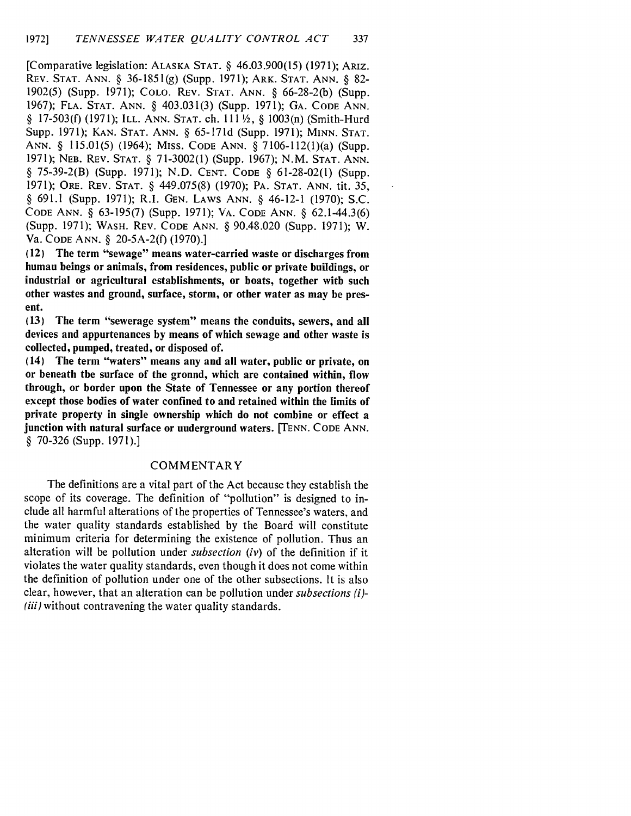[Comparative legislation: ALASKA STAT. § 46.03.900(15) (1971); ARIZ. REV. STAT. ANN. § 36-1851(g) (Supp. 1971); ARK. STAT. ANN. § 82- 1902(5) (Supp. 1971); COLO. REV. STAT. ANN. § 66-28-2(b) (Supp. 1967); FLA. STAT. ANN. § 403.031(3) (Supp. 1971); GA. CODE ANN. § 17-503(f) (1971); ILL. ANN. STAT. ch. 111 1/2, § 1003(n) (Smith-Hurd Supp. 1971); KAN. STAT. ANN. § 65-171d (Supp. 1971); MINN. STAT. ANN. § 115.01(5) (1964); MISS. CODE ANN. § 7106-112(1)(a) (Supp. 1971); NEB. REV. STAT. § 71-3002(1) (Supp. 1967); N.M. STAT. ANN. § 75-39-2(B) (Supp. 1971); N.D. CENT. CODE § 61-28-02(1) (Supp. 1971); ORE. REV. STAT. § 449.075(8) (1970); PA. STAT. ANN. tit. 35, § 691.1 (Supp. 1971); R.I. GEN. LAWS ANN. § 46-12-1 (1970); S.C. CODE ANN. § 63-195(7) (Supp. 1971); VA. CODE ANN. § 62.1-44.3(6) (Supp. 1971); WASH. REV. CODE ANN. § 90.48.020 (Supp. 1971); W. Va. CODE ANN. § 20-5A-2(f) (1970).]

(12) The term "sewage" means water-carried waste or discharges from human beings or animals, from residences, public or private buildings, or industrial or agricultural establishments, or boats, together with such other wastes and ground, surface, storm, or other water as may be present.

**(13)** The term "sewerage system" means the conduits, sewers, and all devices and appurtenances **by** means of which sewage and other waste is collected, pumped, treated, or disposed of.

(14) The term "waters" means any and all water, public or private, on or beneath the surface of the gronnd, which are contained within, flow through, or border upon the State of Tennessee or any portion thereof except those bodies of water confined to and retained within the limits of private property in single ownership which do not combine or effect a junction with natural surface or underground waters. **[TENN.** CODE **ANN.** § **70-326** (Supp. **1971).]**

#### COMMENTARY

The definitions are a vital part of the Act because they establish the scope of its coverage. The definition of "pollution" is designed to include all harmful alterations of the properties of Tennessee's waters, and the water quality standards established **by** the Board will constitute minimum criteria for determining the existence of pollution. Thus an alteration will be pollution under *subsection (iv)* of the definition if it violates the water quality standards, even though it does not come within the definition of pollution under one of the other subsections. It is also clear, however, that an alteration can be pollution under *subsections (i)- (iii)* without contravening the water quality standards.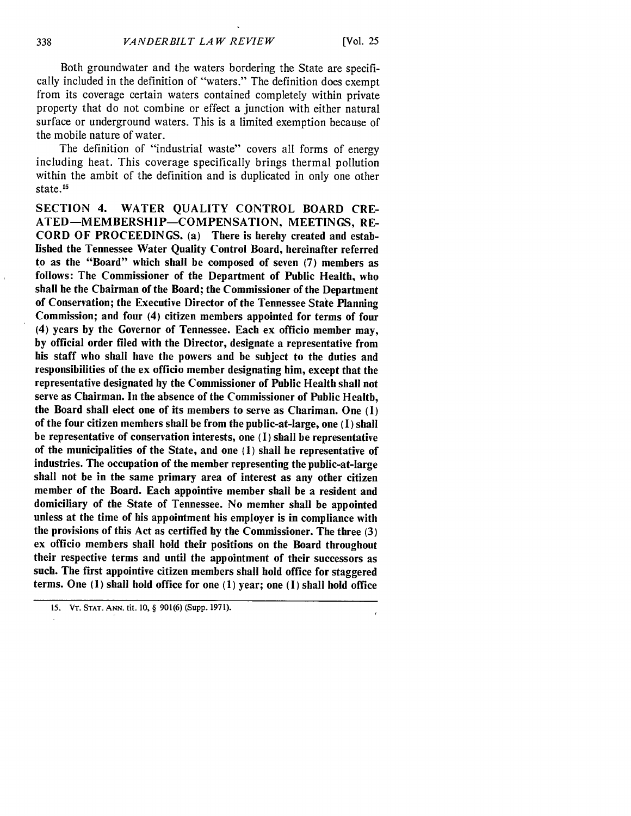Both groundwater and the waters bordering the State are specifically included in the definition of "waters." The definition does exempt from its coverage certain waters contained completely within private property that do not combine or effect a junction with either natural surface or underground waters. This is a limited exemption because of the mobile nature of water.

The definition of "industrial waste" covers all forms of energy including heat. This coverage specifically brings thermal pollution within the ambit of the definition and is duplicated in only one other state. 15

SECTION 4. WATER QUALITY CONTROL BOARD CRE-ATED-MEMBERSHIP-COMPENSATION, MEETINGS, RE-CORD OF PROCEEDINGS. (a) There is hereby created and established the Tennessee Water Quality Control Board, hereinafter referred to as the "Board" which shall be composed of seven **(7)** members as follows: The Commissioner of the Department of Public Health, who shall be the Chairman of the Board; the Commissioner of the Department of Conservation; the Executive Director of the Tennessee State Planning Commission; and four (4) citizen members appointed for terms of four (4) years **by** the Governor of Tennessee. Each ex officio member may, **by** official order filed with the Director, designate a representative from his staff who shall have the powers and be subject to the duties and responsibilities of the ex officio member designating him, except that the representative designated **by** the Commissioner of Public Health shall not serve as Chairman. In the absence of the Commissioner of Public Health, the Board shall elect one of its members to serve as Chariman. One **(I)** of the four citizen members shall be from the public-at-large, one **(1)** shall be representative of conservation interests, one **(1)** shall be representative of the municipalities of the State, and one **(1)** shall be representative of industries. The occupation of the member representing the public-at-large shall not be in the same primary area of interest as any other citizen member of the Board. Each appointive member shall be a resident and domiciliary of the State of Tennessee. No member shall be appointed unless at the time of his appointment his employer is in compliance with the provisions of this Act as certified **by** the Commissioner. The three **(3)** ex officio members shall hold their positions on the Board throughout their respective terms and until the appointment of their successors as such. The first appointive citizen members shall hold office for staggered terms. One **(1)** shall hold office for one **(1)** year; one **(1)** shall hold office

**<sup>15.</sup>** VT. **STAT. ANN.** tit. **10,** § 901(6) (Supp. 1971).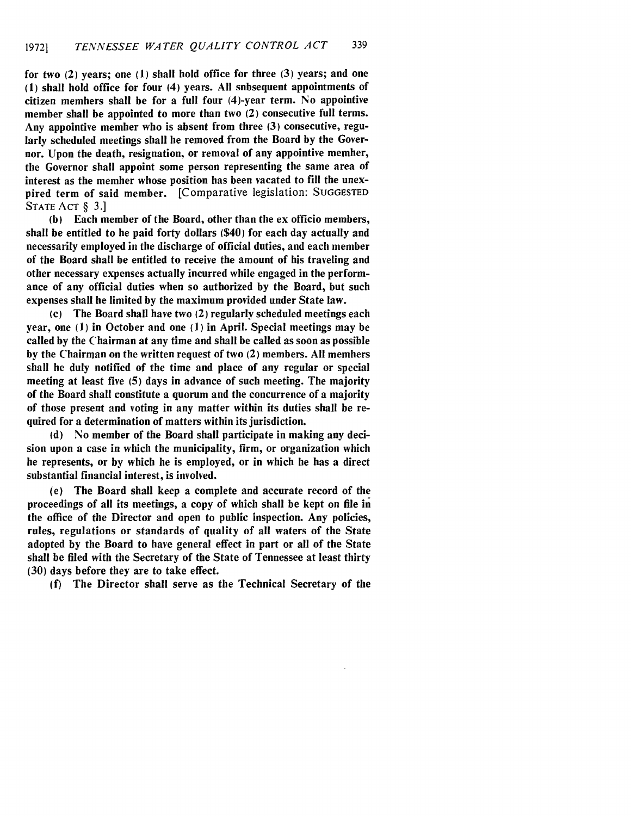for two (2) years; one **(1)** shall hold office for three **(3)** years; and one **(1)** shall hold office for four (4) years. **All** subsequent appointments of citizen members shall **be** for a full four (4)-year term. No appointive member shall be appointed to more than two (2) consecutive full terms. Any appointive member who is absent from three **(3)** consecutive, regularly scheduled meetings shall be removed from the Board **by** the Governor. Upon the death, resignation, or removal of any appointive member, the Governor shall appoint some person representing the same area of interest as the member whose position has been vacated to **fill** the unexpired term of said member. [Comparative legislation: SUGGESTED STATE ACT § **3.]**

**(b)** Each member of the Board, other than the ex officio members, shall be entitled to be paid forty dollars (\$40) for each day actually and necessarily employed in the discharge of official duties, and each member of the Board shall be entitled to receive the amount of his traveling and other necessary expenses actually incurred while engaged in the performance of any official duties when so authorized by the Board, but such expenses shall be limited **by** the maximum provided under State law.

(c) The Board shall have two (2) regularly scheduled meetings each year, one (1) in October and one (1) in April. Special meetings may be called by the Chairman at any time and shall be called as soon as possible by the Chairman on the written request of two (2) members. All members shall be duly notified of the time and place of any regular or special meeting at least five (5) days in advance of such meeting. The majority of the Board shall constitute a quorum and the concurrence of a majority of those present and voting in any matter within its duties shall be required for a determination of matters within its jurisdiction.

(d) No member of the Board shall participate in making any decision upon a case in which the municipality, firm, or organization which he represents, or by which he is employed, or in which he has a direct substantial financial interest, is involved.

(e) The Board shall keep a complete and accurate record of the proceedings of all its meetings, a copy of which shall be kept on file in the office of the Director and open to public inspection. Any policies, rules, regulations or standards of quality of all waters of the State adopted by the Board to have general effect in part or all of the State shall be filed with the Secretary of the State of Tennessee at least thirty (30) days before they are to take effect.

(f) The Director shall serve as the Technical Secretary of the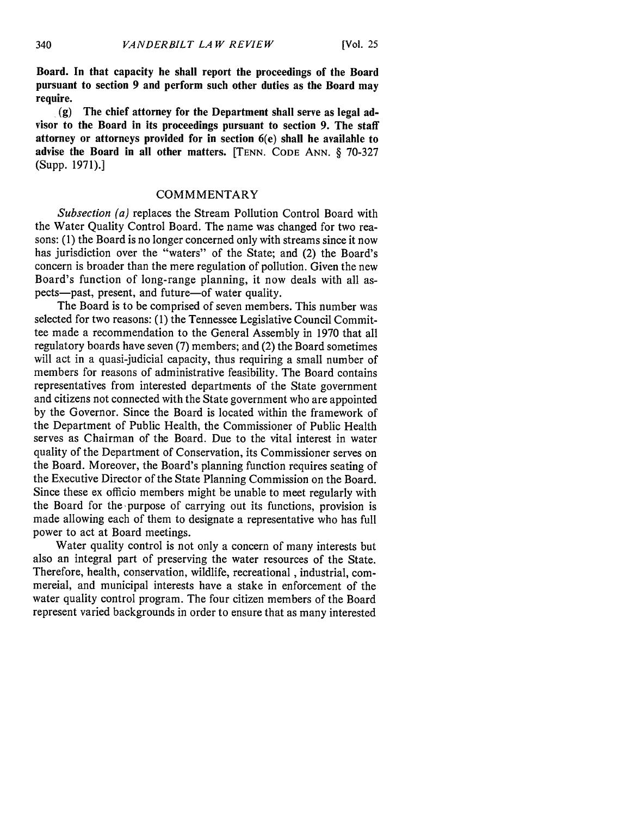**Board. In that capacity he shall report the proceedings of the Board pursuant to section 9 and perform such other duties as the Board may require.**

**(g) The chief attorney for the Department shall serve as legal advisor to the Board in its proceedings pursuant to section 9. The staff attorney or attorneys provided for in section 6(e) shall be available to advise the Board in all other matters. [TENN. CODE ANN.** § **70-327** (Supp. **1971).]**

## **COMMMENTARY**

*Subsection (a)* replaces the Stream Pollution Control Board with the Water Quality Control Board. The name was changed for two reasons: (1) the Board is no longer concerned only with streams since it now has jurisdiction over the "waters" of the State; and (2) the Board's concern is broader than the mere regulation of pollution. Given the new Board's function of long-range planning, it now deals with all aspects-past, present, and future-of water quality.

The Board is to be comprised of seven members. This number was selected for two reasons: **(1)** the Tennessee Legislative Council Committee made a recommendation to the General Assembly in 1970 that all regulatory boards have seven (7) members; and (2) the Board sometimes will act in a quasi-judicial capacity, thus requiring a small number of members for reasons of administrative feasibility. The Board contains representatives from interested departments of the State government and citizens not connected with the State government who are appointed by the Governor. Since the Board is located within the framework of the Department of Public Health, the Commissioner of Public Health serves as Chairman of the Board. Due to the vital interest in water quality of the Department of Conservation, its Commissioner serves on the Board. Moreover, the Board's planning function requires seating of the Executive Director of the State Planning Commission on the Board. Since these ex officio members might be unable to meet regularly with the Board for the purpose of carrying out its functions, provision is made allowing each of them to designate a representative who has full power to act at Board meetings.

Water quality control is not only a concern of many interests but also an integral part of preserving the water resources of the State. Therefore, health, conservation, wildlife, recreational, industrial, commercial, and municipal interests have a stake in enforcement of the water quality control program. The four citizen members of the Board represent varied backgrounds in order to ensure that as many interested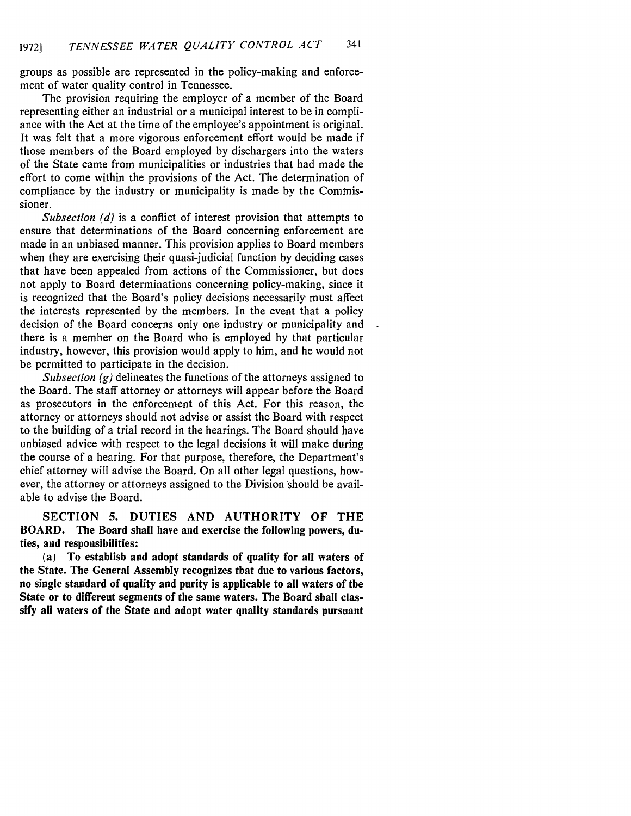groups as possible are represented in the policy-making and enforcement of water quality control in Tennessee.

The provision requiring the employer of a member of the Board representing either an industrial or a municipal interest to be in compliance with the Act at the time of the employee's appointment is original. It was felt that a more vigorous enforcement effort would be made if those members of the Board employed by dischargers into the waters of the State came from municipalities or industries that had made the effort to come within the provisions of the Act. The determination of compliance by the industry or municipality is made by the Commissioner.

*Subsection (d)* is a conflict of interest provision that attempts to ensure that determinations of the Board concerning enforcement are made in an unbiased manner. This provision applies to Board members when they are exercising their quasi-judicial function by deciding cases that have been appealed from actions of the Commissioner, but does not apply to Board determinations concerning policy-making, since it is recognized that the Board's policy decisions necessarily must affect the interests represented by the members. In the event that a policy decision of the Board concerns only one industry or municipality and there is a member on the Board who is employed by that particular industry, however, this provision would apply to him, and he would not be permitted to participate in the decision.

*Subsection (g)* delineates the functions of the attorneys assigned to the Board. The staff attorney or attorneys will appear before the Board as prosecutors in the enforcement of this Act. For this reason, the attorney or attorneys should not advise or assist the Board with respect to the building of a trial record in the hearings. The Board should have unbiased advice with respect to the legal decisions it will make during the course of a hearing. For that purpose, therefore, the Department's chief attorney will advise the Board. On all other legal questions, however, the attorney or attorneys assigned to the Division should be available to advise the Board.

**SECTION 5. DUTIES AND AUTHORITY OF THE BOARD. The Board shall have and exercise the following powers, duties, and responsibilities:**

**(a) To establish and adopt standards of quality for all waters of the State. The General Assembly recognizes that due to various factors, no single standard of quality and purity is applicable to all waters of the** State or to differeut segments of the same waters. The Board sball clas**sify all waters of the State and adopt water quality standards pursuant**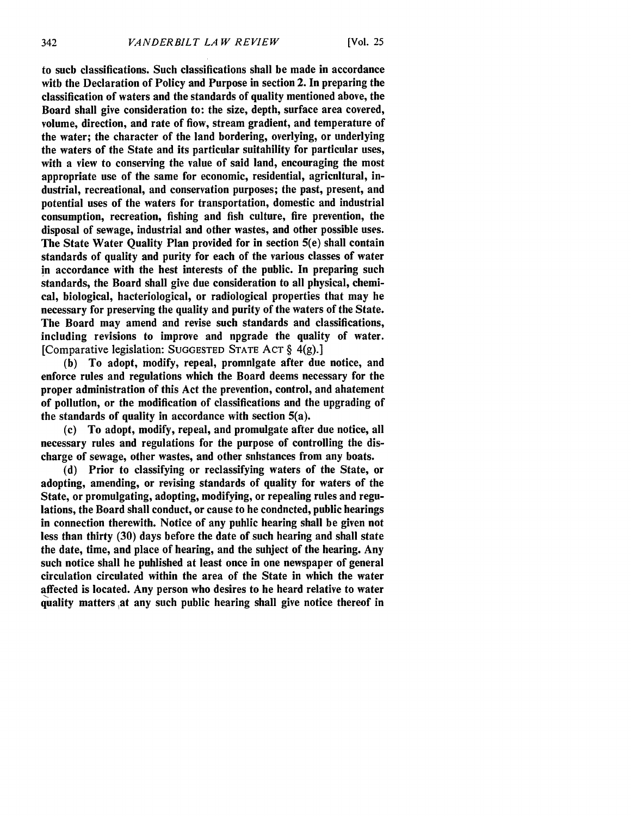to such classifications. Such classifications shall **be** made in accordance with the Declaration of Policy and Purpose in section 2. In preparing the classification of waters and the standards of quality mentioned above, the Board shall give consideration to: the size, depth, surface area covered, volume, direction, and rate of flow, stream gradient, and temperature of the water; the character of the land bordering, overlying, or underlying the waters of the State and its particular suitability for particular uses, with a view to conserving the value of said land, encouraging the most appropriate use of the same for economic, residential, agricultural, industrial, recreational, and conservation purposes; the past, present, and potential uses of the waters for transportation, domestic and industrial consumption, recreation, fishing and fish culture, fire prevention, the disposal of sewage, industrial and other wastes, and other possible uses. The State Water Quality Plan provided for in section 5(e) shall contain standards of quality and purity for each of the various classes of water in accordance with the best interests of the public. In preparing such standards, the Board shall give due consideration to all physical, chemical, biological, bacteriological, or radiological properties that may be necessary for preserving the quality and purity of the waters of the State. The Board may amend and revise such standards and classifications, including revisions to improve and npgrade the quality of water. [Comparative legislation: SUGGESTED STATE ACT  $\S$  4(g).]

**(b)** To adopt, modify, repeal, promulgate after due notice, and enforce rules and regulations which the Board deems necessary for the proper administration of this Act the prevention, control, and abatement of pollution, or the modification of classifications and the upgrading of the standards of quality in accordance with section 5(a).

(c) To adopt, modify, repeal, and promulgate after due notice, all necessary rules and regulations for the purpose of controlling the discharge of sewage, other wastes, and other snhstances from any boats.

(d) Prior to classifying or reclassifying waters of the State, or adopting, amending, or revising standards of quality for waters of the State, or promulgating, adopting, modifying, or repealing rules and regulations, the Board shall conduct, or cause to he conducted, public hearings in connection therewith. Notice of any public hearing shall be given not less than thirty (30) days before the date of such hearing and shall state the date, time, and place of hearing, and the subject of the hearing. Any such notice shall be published at least once in one newspaper of general circulation circulated within the area of the State in which the water affected is located. Any person who desires to be heard relative to water quality matters at any such public hearing shall give notice thereof in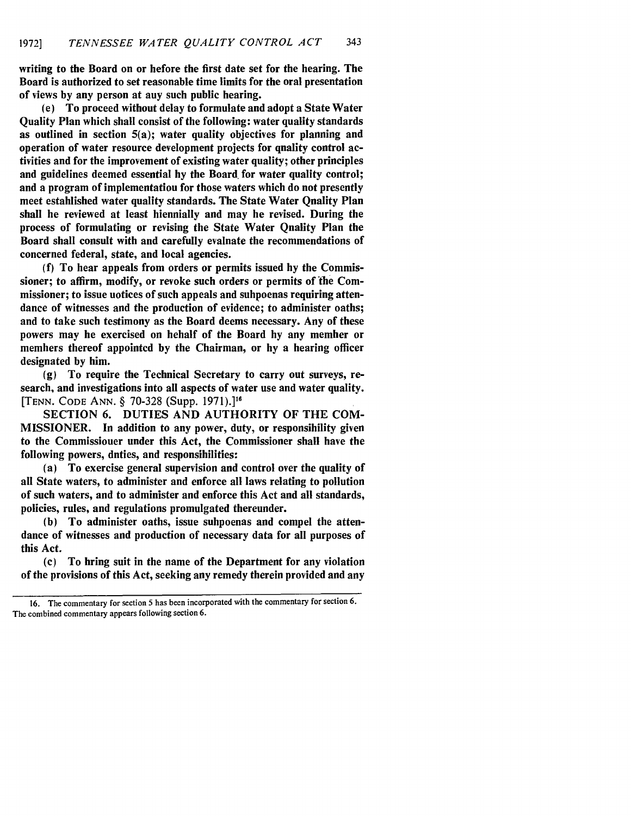writing to the Board on or before the first date set for the hearing. The Board is authorized to set reasonable time limits for the oral presentation of views **by** any person at any such public hearing.

(e) To proceed without delay to formulate and adopt a State Water Quality Plan which shall consist of the following: water quality standards as outlined in section  $5(a)$ ; water quality objectives for planning and operation of water resource development projects for quality control activities and for the improvement of existing water quality; other principles and guidelines deemed essential hy the Board for water quality control; and a program of implementation for those waters which do not presently meet estahlished water quality standards. The State Water Quality Plan shall be reviewed at least biennially and may be revised. During the process of formulating or revising the State Water Qnality Plan the Board shall consult with and carefully evaluate the recommendations of concerned federal, state, and local agencies.

**(f)** To hear appeals from orders or permits issued **by** the Commissioner; to affirm, modify, or revoke such orders or permits of the Commissioner; to issue uotices of such appeals and subpoenas requiring attendance of witnesses and the production of evidence; to administer oaths; and to take such testimony as the Board deems necessary. Any of these powers may be exercised on behalf of the Board **by** any member or members thereof appointed **by** the Chairman, or **by** a hearing officer designated **by** him.

**(g)** To require the Technical Secretary to carry out surveys, research, and investigations into all aspects of water use and water quality. [TENN. CODE ANN. § 70-328 (Supp. 1971).]<sup>16</sup>

SECTION 6. DUTIES AND AUTHORITY OF THE COM-MISSIONER. In addition to any power, duty, or responsibility given to the Commissioner under this Act, the Commissioner shall have the following powers, duties, and responsibilities:

(a) To exercise general supervision and control over the quality of all State waters, to administer and enforce all laws relating to pollution of such waters, and to administer and enforce this Act and all standards, policies, rules, and regulations promulgated thereunder.

**(b)** To administer oaths, issue subpoenas and compel the attendance of witnesses and production of necessary data for all purposes of this Act.

(c) To bring suit in the name of the Department for any violation of the provisions of this Act, seeking any remedy therein provided and any

The commentary for section 5 has been incorporated with the commentary for section 6. The combined commentary appears following section 6.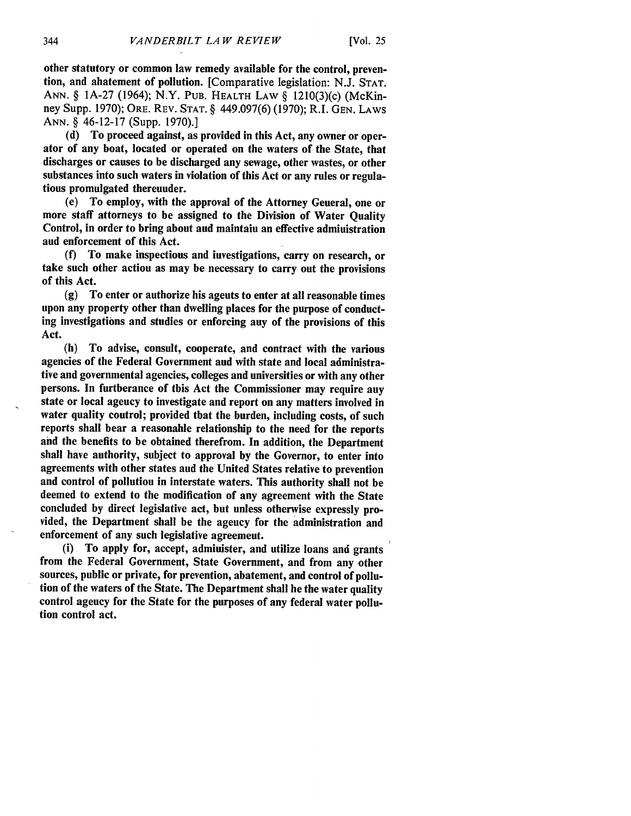other statutory or common law remedy available for the control, prevention, and abatement of pollution. [Comparative legislation: **N.J. STAT. ANN.** § **IA-27** (1964); N.Y. **PUB.** HEALTH LAW § 1210(3)(c) (McKinney Supp. **1970);** ORE. REV. **STAT.** § 449.097(6) **(1970);** R.I. **GEN.** LAWS ANN. § 46-12-17 (Supp. **1970).]**

**(d)** To proceed against, as provided in this Act, any owner or operator of any boat, located or operated on the waters of the State, that discharges or causes to be discharged any sewage, other wastes, or other substances into such waters in violation of this Act or any rules or regulations promulgated thereunder.

(e) To employ, with the approval of the Attorney General, one or more staff attorneys to be assigned to the Division of Water Quality Control, in order to bring about aud maintaiu an effective admiuistration aud enforcement of this Act.

**(f)** To make inspections and investigations, carry on research, or take such other action as may be necessary to carry out the provisions of this Act.

**(g)** To enter or authorize his agents to enter at all reasonable times upon any property other than dwelling places for the purpose of conducting investigations and studies or enforcing any of the provisions of this Act.

(h) To advise, consult, cooperate, and contract with the various agencies of the Federal Government and with state and local administrative and governmental agencies, colleges and universities or with any other persons. In furtherance of this Act the Commissioner may require any state or local agency to investigate and report on any matters involved in water quality coutrol; provided that the burden, including costs, of such reports shall bear a reasonable relationship to the need for the reports and the benefits to be obtained therefrom. In addition, the Department shall have authority, subject to approval **by** the Governor, to enter into agreements with other states and the United States relative to prevention and control of pollution in interstate waters. This authority shall not be deemed to extend to the modification of any agreement with the State concluded **by** direct legislative act, but unless otherwise expressly provided, the Department shall be the ageucy for the administration and enforcement of any such legislative agreement.

(i) To apply for, accept, administer, and utilize loans and grants from the Federal Government, State Government, and from any other sources, public or private, for prevention, abatement, and control of pollution of the waters of the State. The Department shall he the water quality control agency for the State for the purposes of any federal water pollution control act.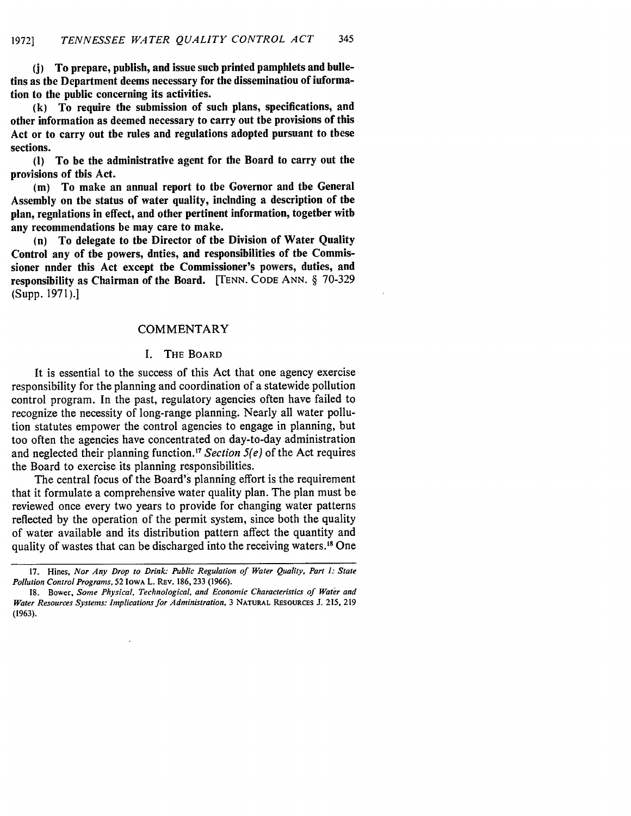**(j)** To prepare, publish, and issue such printed pamphlets and bulletins as the Department deems necessary for the dissemination of information to the public concerning its activities.

**(k)** To require the submission of such plans, specifications, and other information as deemed necessary to carry out the provisions of this Act or to carry out the rules and regulations adopted pursuant to these sections.

**(I)** To be the administrative agent for the Board to carry out the provisions of this Act.

**(m)** To make an annual report to the Governor and the General Assembly on the status of water quality, including a description of the plan, regulations in effect, and other pertinent information, together with any recommendations he may care to make.

(n) To delegate to the Director of the Division of Water Quality Control any of the powers, duties, and responsibilities of the Commissioner nnder this Act except the Commissioner's powers, duties, and responsibility as Chairman of the Board. **[TENN. CODE ANN.** § 70-329 (Supp. **1971).]**

#### COMMENTARY

#### **I.** THE BOARD

It is essential to the success of this Act that one agency exercise responsibility for the planning and coordination of a statewide pollution control program. In the past, regulatory agencies often have failed to recognize the necessity of long-range planning. Nearly all water pollution statutes empower the control agencies to engage in planning, but too often the agencies have concentrated on day-to-day administration and neglected their planning function.<sup>17</sup> Section 5(e) of the Act requires the Board to exercise its planning responsibilities.

The central focus of the Board's planning effort is the requirement that it formulate a comprehensive water quality plan. The plan must be reviewed once every two years to provide for changing water patterns reflected **by** the operation of the permit system, since both the quality of water available and its distribution pattern affect the quantity and quality of wastes that can be discharged into the receiving waters.<sup>18</sup> One

**<sup>17.</sup>** Hines, *Nor Any Drop to Drink: Public Regulation of Water Quality, Part 1: State Pollution Control Programs,* **52** IOWA L. REv. **186, 233 (1966).**

**<sup>18.</sup>** Bower, *Some Physical, Technological, and Economic Characteristics of Water and Water Resources Systems: Implications for Administration,* **3 NATURAL** RESOURCES **J. 215, 219 (1963).**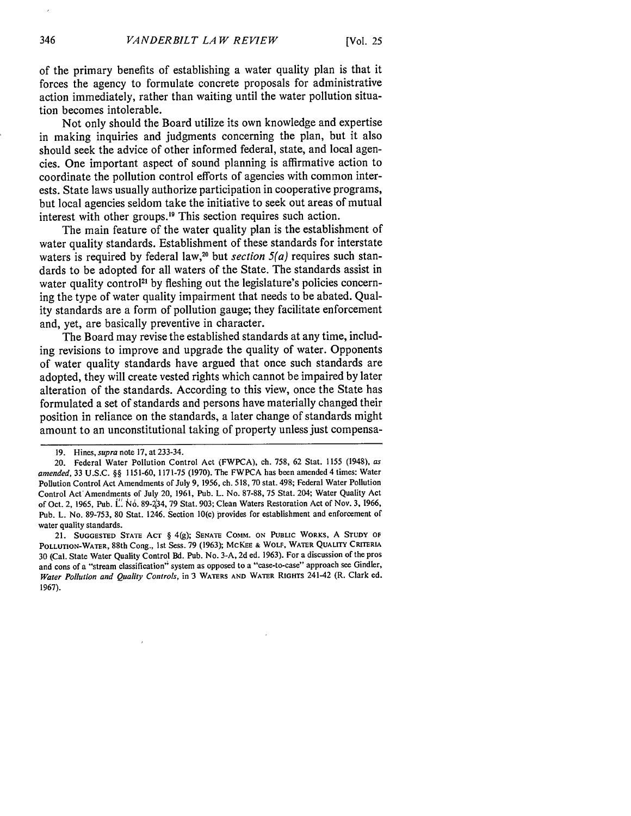of the primary benefits of establishing a water quality plan is that it forces the agency to formulate concrete proposals for administrative action immediately, rather than waiting until the water pollution situation becomes intolerable.

Not only should the Board utilize its own knowledge and expertise in making inquiries and judgments concerning the plan, but it also should seek the advice of other informed federal, state, and local agencies. One important aspect of sound planning is affirmative action to coordinate the pollution control efforts of agencies with common interests. State laws usually authorize participation in cooperative programs, but local agencies seldom take the initiative to seek out areas of mutual interest with other groups.<sup>19</sup> This section requires such action.

The main feature of the water quality plan is the establishment of water quality standards. Establishment of these standards for interstate waters is required by federal law,<sup>20</sup> but *section*  $5(a)$  requires such standards to be adopted for all waters of the State. The standards assist in water quality control<sup>21</sup> by fleshing out the legislature's policies concerning the type of water quality impairment that needs to be abated. Quality standards are a form of pollution gauge; they facilitate enforcement and, yet, are basically preventive in character.

The Board may revise the established standards at any time, including revisions to improve and upgrade the quality of water. Opponents of water quality standards have argued that once such standards are adopted, they will create vested rights which cannot be impaired by later alteration of the standards. According to this view, once the State has formulated a set of standards and persons have materially changed their position in reliance on the standards, a later change of standards might amount to an unconstitutional taking of property unless just compensa-

21. **SUGGESTED STATE ACT** § **4(g); SENATE COMM. ON PUBLIC WORKS, A STUDY OF** POLLUTION-WATER, 88th Cong., 1st Sess. 79 (1963); McKEE **&** WOLF, WATER **QUALITY** CRITERIA 30 (Cal. State Water Quality Control Bd. Pub. No. 3-A, 2d ed. 1963). For a discussion of the pros and cons of a "stream classification" system as opposed to a "case-to-case" approach see Gindler, *Water Pollution and Quality Controls,* in 3 WATERS **AND** WATER RIGHTS 241-42 (R. Clark **ed. 1967).**

<sup>19.</sup> Hines, *supra* note 17, at 233-34.

<sup>20.</sup> Federal Water Pollution Control Act (FWPCA), ch. **758,** 62 Stat. **1155** (1948), *as amended,* 33 U.S.C. §§ 1151-60, 1171-75 (1970). The FWPCA has been amended 4 times: Water Pollution Control Act Amendments of July 9, 1956, ch. **518,** 70 stat. 498; Federal Water Pollution Control Act'Amendments of July 20, 1961, Pub. L. No. 87-88, 75 Stat. 204; Water Quality Act of Oct. 2, 1965, Pub. **L' N6.** 89-234, 79 Stat. 903; Clean Waters Restoration Act of Nov. **3,** 1966, Pub. L. No. **89-753,** 80 Stat. 1246. Section 10(c) provides for establishment and enforcement of water quality standards.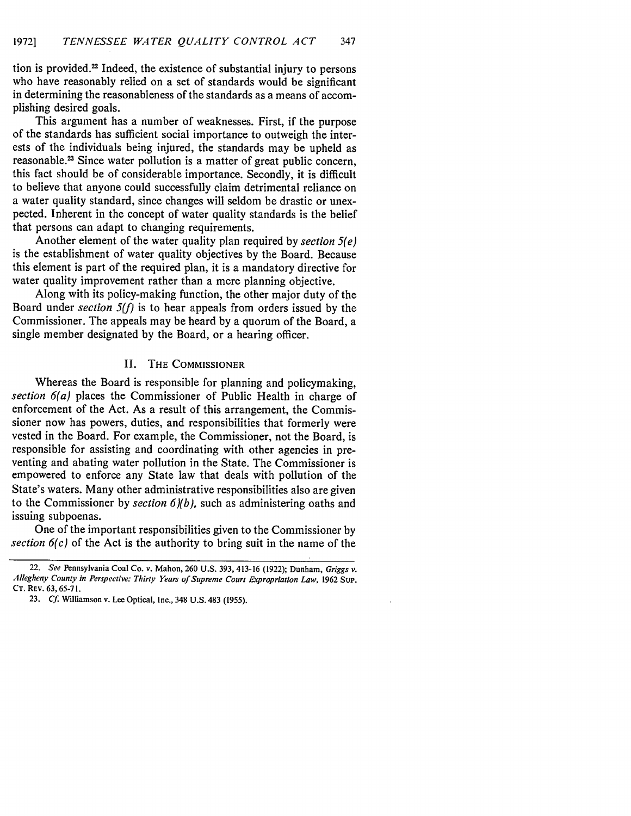tion is provided. 22 Indeed, the existence of substantial injury to persons who have reasonably relied on a set of standards would be significant in determining the reasonableness of the standards as a means of accomplishing desired goals.

This argument has a number of weaknesses. First, if the purpose of the standards has sufficient social importance to outweigh the interests of the individuals being injured, the standards may be upheld as reasonable.<sup>23</sup> Since water pollution is a matter of great public concern, this fact should be of considerable importance. Secondly, it is difficult to believe that anyone could successfully claim detrimental reliance on a water quality standard, since changes will seldom be drastic or unexpected. Inherent in the concept of water quality standards is the belief that persons can adapt to changing requirements.

Another element of the water quality plan required by *section 5(e)* is the establishment of water quality objectives by the Board. Because this element is part of the required plan, it is a mandatory directive for water quality improvement rather than a mere planning objective.

Along with its policy-making function, the other major duty of the Board under *section* 5(f) is to hear appeals from orders issued by the Commissioner. The appeals may be heard by a quorum of the Board, a single member designated by the Board, or a hearing officer.

#### **1I.** THE COMMISSIONER

Whereas the Board is responsible for planning and policymaking, *section 6(a)* places the Commissioner of Public Health in charge of enforcement of the Act. As a result of this arrangement, the Commissioner now has powers, duties, and responsibilities that formerly were vested in the Board. For example, the Commissioner, not the Board, is responsible for assisting and coordinating with other agencies in preventing and abating water pollution in the State. The Commissioner is empowered to enforce any State law that deals with pollution of the State's waters. Many other administrative responsibilities also are given to the Commissioner by *section 6)(b),* such as administering oaths and issuing subpoenas.

One of the important responsibilities given to the Commissioner by *section 6(c)* of the Act is the authority to bring suit in the name of the

<sup>22.</sup> *See* Pennsylvania Coal Co. v. Mahon, 260 U.S. 393, 413-16 (1922); Dunham, Griggs *v.* Allegheny County *in Perspective: Thirty Years of Supreme Court Expropriation Law,* 1962 **SuP.** CT. REv. 63, **65-7** 1.

<sup>23.</sup> *Cf.* Williamson v. Lee Optical, Inc., 348 **U.S.** 483 **(1955).**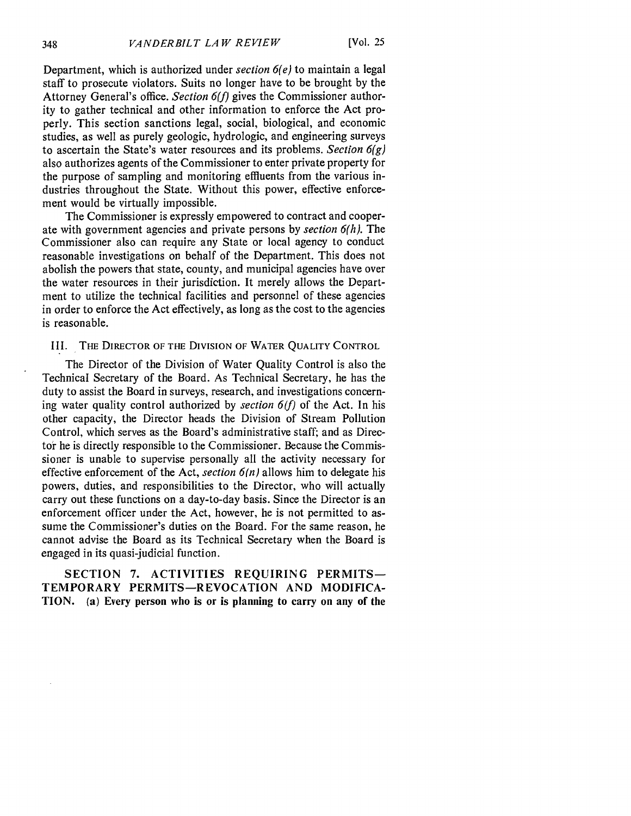Department, which is authorized under *section 6(e)* to maintain a legal staff to prosecute violators. Suits no longer have to be brought by the Attorney General's office. *Section 6(f)* gives the Commissioner authority to gather technical and other information to enforce the Act properly. This section sanctions legal, social, biological, and economic studies, as well as purely geologic, hydrologic, and engineering surveys to ascertain the State's water resources and its problems. *Section 6(g)* also authorizes agents of the Commissioner to enter private property for the purpose of sampling and monitoring effluents from the various industries throughout the State. Without this power, effective enforcement would be virtually impossible.

The Commissioner is expressly empowered to contract and cooperate with government agencies and private persons by *section 6(h).* The Commissioner also can require any State or local agency to conduct reasonable investigations on behalf of the Department. This does not abolish the powers that state, county, and municipal agencies have over the water resources in their jurisdiction. It merely allows the Department to utilize the technical facilities and personnel of these agencies in order to enforce the Act effectively, as long as the cost to the agencies is reasonable.

## III. **THE** DIRECTOR OF THE DIVISION OF **WATER QUALITY** CONTROL

The Director of the Division of Water Quality Control is also the Technical Secretary of the Board. As Technical Secretary, he has the duty to assist the Board in surveys, research, and investigations concerning water quality control authorized by *section 6(f)* of the Act. In his other capacity, the Director heads the Division of Stream Pollution Control, which serves as the Board's administrative staff; and as Director he is directly responsible to the Commissioner. Because the Commissioner is unable to supervise personally all the activity necessary for effective enforcement of the Act, *section*  $6(n)$  allows him to delegate his powers, duties, and responsibilities to the Director, who will actually carry out these functions on a day-to-day basis. Since the Director is an enforcement officer under the Act, however, he is not permitted to assume the Commissioner's duties on the Board. For the same reason, he cannot advise the Board as its Technical Secretary when the Board is engaged in its quasi-judicial function.

SECTION 7. ACTIVITIES REQUIRING PERMITS-TEMPORARY **PERMITS-REVOCATION AND MODIFICA-TION. (a)** Every person who is or is planning to carry on any of the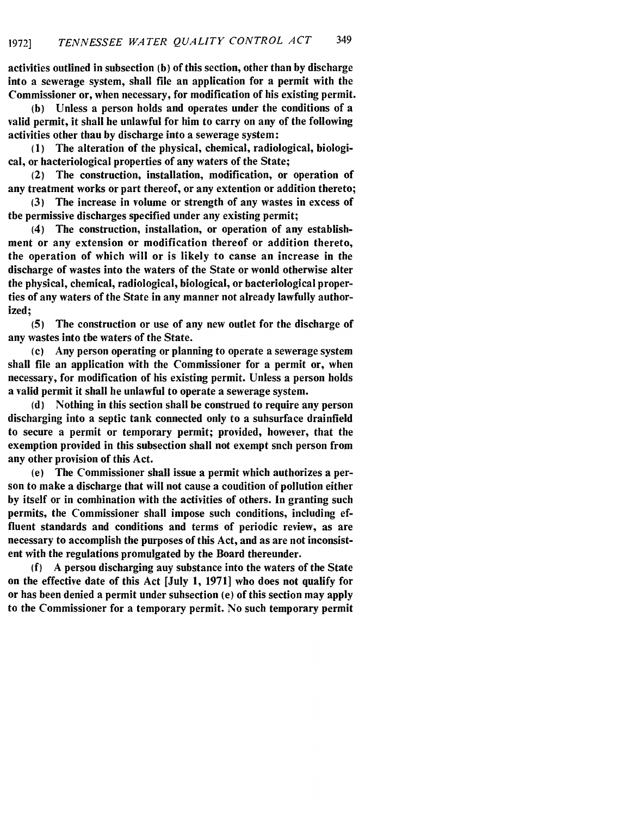activities outlined in subsection **(b)** of this section, other than **by** discharge into a sewerage system, shall file an application for a permit with the Commissioner or, when necessary, for modification of his existing permit.

**(b)** Unless a person holds and operates under the conditions of a valid permit, it shall be unlawful for him to carry on any of the following activities other than **by** discharge into a sewerage system:

**(I)** The alteration of the physical, chemical, radiological, biological, or bacteriological properties of any waters of the State;

(2) The construction, installation, modification, or operation of any treatment works or part thereof, or any extention or addition thereto;

**(3)** The increase in volume or strength of any wastes in excess of the permissive discharges specified under any existing permit;

(4) The construction, installation, or operation of any establishment or any extension or modification thereof or addition thereto, the operation of which will or is likely to canse an increase in the discharge of wastes into the waters of the State or would otherwise alter the physical, chemical, radiological, biological, or bacteriological properties of any waters of the State in any manner not already lawfully authorized;

**(5)** The construction or use of any new outlet for the discharge of any wastes into the waters of the State.

(c) Any person operating or planning to operate a sewerage system shall file an application with the Commissioner for a permit or, when necessary, for modification of his existing permit. Unless a person holds a valid permit it shall be unlawful to operate a sewerage system.

**(d)** Nothing in this section shall be construed to require any person discharging into a septic tank connected only to a subsurface drainfield to secure a permit or temporary permit; provided, however, that the exemption provided in this subsection shall not exempt snch person from any other provision of this Act.

(e) The Commissioner shall issue a permit which authorizes a person to make a discharge that will not cause a condition of pollution either **by** itself or in combination with the activities of others. In granting such permits, the Commissioner shall impose such conditions, including effluent standards and conditions and terms of periodic review, as are necessary to accomplish the purposes of this Act, and as are not inconsistent with the regulations promulgated **by** the Board thereunder.

**(f) A** person discharging any substance into the waters of the State on the effective date of this Act [July **1, 1971]** who does not qualify for or has been denied a permit under subsection (e) of this section may apply to the Commissioner for a temporary permit. No such temporary permit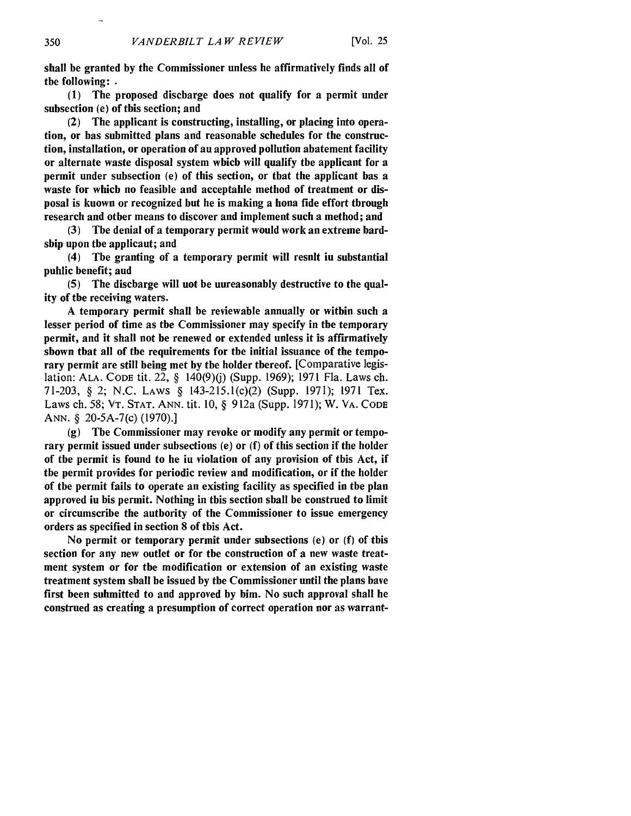shall be granted **by** the Commissioner unless he affirmatively finds all of the following: **.**

**(1)** The proposed discharge does not qualify for a permit under subsection (e) of this section; and

(2) The applicant is constructing, installing, or placing into operation, or has submitted plans and reasonable schedules for the construction, installation, or operation of an approved pollution abatement facility or alternate waste disposal system which will qualify the applicant for a permit under subsection (e) of this section, or that the applicant has a waste for which no feasible and acceptable method of treatment or disposal is known or recognized but he is making a bona fide effort through research and other means to discover and implement such a method; and

**(3)** The denial of a temporary permit would work an extreme hardship upon the applicant; and

(4) The granting of a temporary permit will result in substantial puhlic benefit; aud

**(5)** The discharge will not be unreasonably destructive to the quality of the receiving waters.

**A** temporary permit shall be reviewable annually or within such a lesser period of time as the Commissioner may specify in the temporary permit, and it shall not be renewed or extended unless it is affirmatively shown that all of the requirements for the initial issuance of the temporary permit are still being met **by** the holder thereof. [Comparative legislation: ALA. CODE tit. 22, § 140(9)(j) (Supp. 1969); 1971 Fla. Laws ch. 71-203, § 2; N.C. LAWS § 143-215.1(c)(2) (Supp. 1971); 1971 Tex. Laws ch. 58; VT. STAT. ANN. tit. 10, § 912a (Supp. 1971); W. VA. CODE ANN. § 20-5A-7(c) (1970).]

(g) The Commissioner may revoke or modify any permit or temporary permit issued under subsections (e) or (f) of this section if the holder of the permit is found to be in violation of any provision of this Act, if the permit provides for periodic review and modification, or if the holder of the permit fails to operate an existing facility as specified in the plan approved in his permit. Nothing in this section shall be construed to limit or circumscribe the authority of the Commissioner to issue emergency orders as specified in section 8 of this Act.

No permit or temporary permit under subsections (e) or (f) of this section for any new outlet or for the construction of a new waste treatment system or for the modification or extension of an existing waste treatment system shall be issued by the Commissioner until the plans have first been submitted to and approved by him. No such approval shall be construed as creating a presumption of correct operation nor as warrant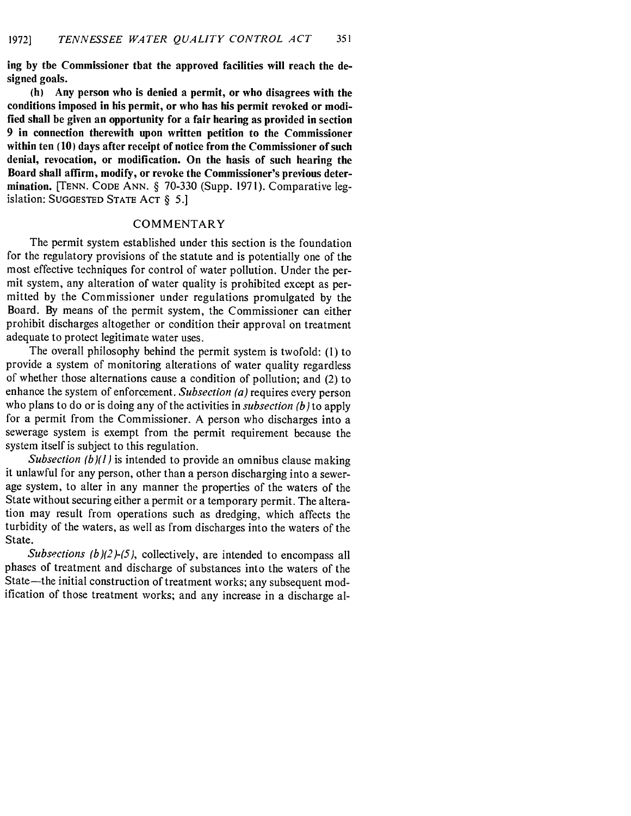**ing by the Commissioner that the approved facilities will reach the designed goals.**

**(h) Any person who is denied a permit, or who disagrees with the conditions imposed in his permit, or who has his permit revoked or modified shall be given an opportunity for a fair hearing as provided in section 9 in connection therewith upon written petition to the Commissioner within ten (10) days after receipt of notice from the Commissioner of such denial, revocation, or modification. On the basis of such hearing the Board shall affirm, modify, or revoke the Commissioner's previous determination.** [TENN. **CODE ANN.** § **70-330 (Supp. 1971). Comparative leg**islation: **SUGGESTED STATE ACT** § *5.]*

#### COMMENTARY

The permit system established under this section is the foundation for the regulatory provisions of the statute and is potentially one of the most effective techniques for control of water pollution. Under the permit system, any alteration of water quality is prohibited except as permitted by the Commissioner under regulations promulgated by the Board. By means of the permit system, the Commissioner can either prohibit discharges altogether or condition their approval on treatment adequate to protect legitimate water uses.

The overall philosophy behind the permit system is twofold: **(1)** to provide a system of monitoring alterations of water quality regardless of whether those alternations cause a condition of pollution; and (2) to enhance the system of enforcement. *Subsection (a)* requires every person who plans to do or is doing any of the activities in *subsection (b)* to apply for a permit from the Commissioner. A person who discharges into a sewerage system is exempt from the permit requirement because the system itself is subject to this regulation.

*Subsection (b)(1)* is intended to provide an omnibus clause making it unlawful for any person, other than a person discharging into a sewerage system, to alter in any manner the properties of the waters of the State without securing either a permit or a temporary permit. The alteration may result from operations such as dredging, which affects the turbidity of the waters, as well as from discharges into the waters of the State.

*Subsections (b)(2)-(5), collectively, are intended to encompass all* phases of treatment and discharge of substances into the waters of the State-the initial construction of treatment works; any subsequent modification of those treatment works; and any increase in a discharge al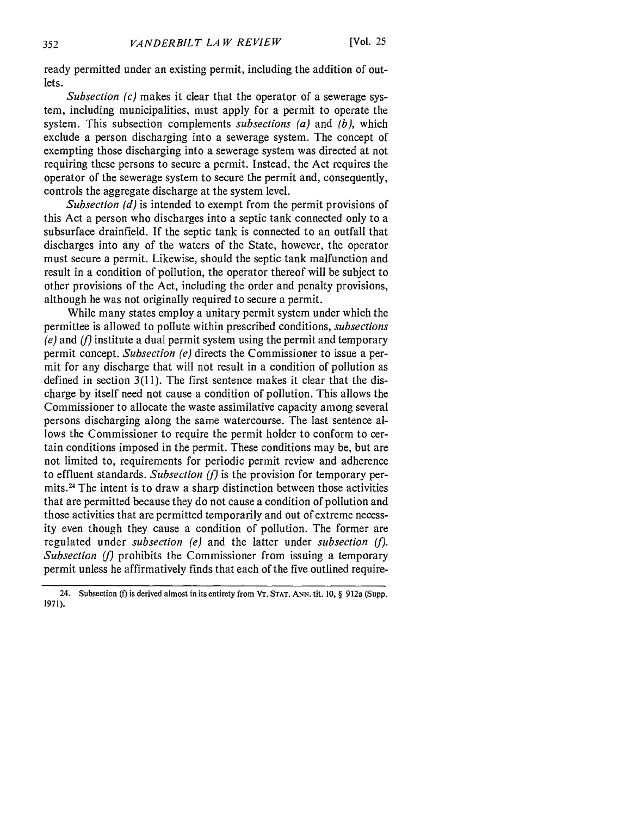ready permitted under an existing permit, including the addition of outlets.

*Subsection (c)* makes it clear that the operator of a sewerage system, including municipalities, must apply for a permit to operate the system. This subsection complements *subsections (a)* and *(b),* which exclude a person discharging into a sewerage system. The concept of exempting those discharging into a sewerage system was directed at not requiring these persons to secure a permit. Instead, the Act requires the operator of the sewerage system to secure the permit and, consequently, controls the aggregate discharge at the system level.

*Subsection (d)* is intended to exempt from the permit provisions of this Act a person who discharges into a septic tank connected only to a subsurface drainfield. If the septic tank is connected to an outfall that discharges into any of the waters of the State, however, the operator must secure a permit. Likewise, should the septic tank malfunction and result in a condition of pollution, the operator thereof will be subject to other provisions of the Act, including the order and penalty provisions, although he was not originally required to secure a permit.

While many states employ a unitary permit system under which the permittee is allowed to pollute within prescribed conditions, *subsections (e)* and *(f)* institute a dual permit system using the permit and temporary permit concept. *Subsection (e)* directs the Commissioner to issue a permit for any discharge that will not result in a condition of pollution as defined in section  $3(11)$ . The first sentence makes it clear that the discharge by itself need not cause a condition of pollution. This allows the Commissioner to allocate the waste assimilative capacity among several persons discharging along the same watercourse. The last sentence allows the Commissioner to require the permit holder to conform to certain conditions imposed in the permit. These conditions may be, but are not limited to, requirements for periodic permit review and adherence to effluent standards. *Subsection (f)* is the provision for temporary permits. 24 The intent is to draw a sharp distinction between those activities that are permitted because they do not cause a condition of pollution and those activities that are permitted temporarily and out of extreme necessity even though they cause a condition of pollution. The former are regulated under *subsection (e)* and the latter under *subsection (f). Subsection (f)* prohibits the Commissioner from issuing a temporary permit unless he affirmatively finds that each of the five outlined require-

<sup>24.</sup> Subsection **(f)** is derived almost **in** its entirety from **VT. STAT. ANN. tit. 10,** § 912a (Supp. **1971).**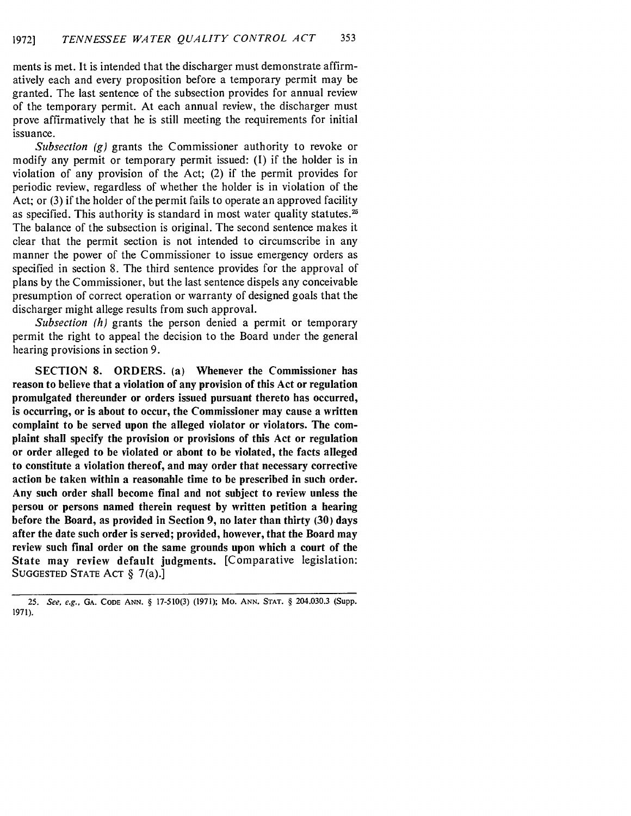ments is met. It is intended that the discharger must demonstrate affirmatively each and every proposition before a temporary permit may be granted. The last sentence of the subsection provides for annual review of the temporary permit. At each annual review, the discharger must prove affirmatively that he is still meeting the requirements for initial issuance.

*Subsection (g)* grants the Commissioner authority to revoke or modify any permit or temporary permit issued: **(1)** if the holder is in violation of any provision of the Act; (2) if the permit provides for periodic review, regardless of whether the holder is in violation of the Act; or (3) if the holder of the permit fails to operate an approved facility as specified. This authority is standard in most water quality statutes.<sup>25</sup> The balance of the subsection is original. The second sentence makes it clear that the permit section is not intended to circumscribe in any manner the power of the Commissioner to issue emergency orders as specified in section 8. The third sentence provides for the approval of plans by the Commissioner, but the last sentence dispels any conceivable presumption of correct operation or warranty of designed goals that the discharger might allege results from such approval.

*Subsection (h)* grants the person denied a permit or temporary permit the right to appeal the decision to the Board under the general hearing provisions in section 9.

**SECTION 8.** ORDERS. (a) **Whenever the Commissioner has reason to believe that a violation of any provision of this Act or regulation promulgated thereunder or orders issued pursuant thereto has occurred, is occurring, or is about to occur, the Commissioner may cause a written complaint to be served upon the alleged violator or violators. The complaint shall specify the provision or provisions of this Act or regulation or order alleged to be violated or about to be violated, the facts alleged to constitute a violation thereof, and may order that necessary corrective action be taken within a reasonable time to be prescribed in such order. Any such order shall become final and not subject to review unless the person or persons named therein request by written petition a hearing before the Board, as provided in Section 9, no later than thirty (30) days after the date such order is served; provided, however, that the Board may review such final order on the same grounds upon which a court of the State may review default judgments. [Comparative legislation:** SUGGESTED STATE **ACT** § 7(a).]

<sup>25.</sup> See, e.g., GA. CODE ANN. § 17-510(3) (1971); Mo. ANN. STAT. § 204.030.3 (Supp. 1971).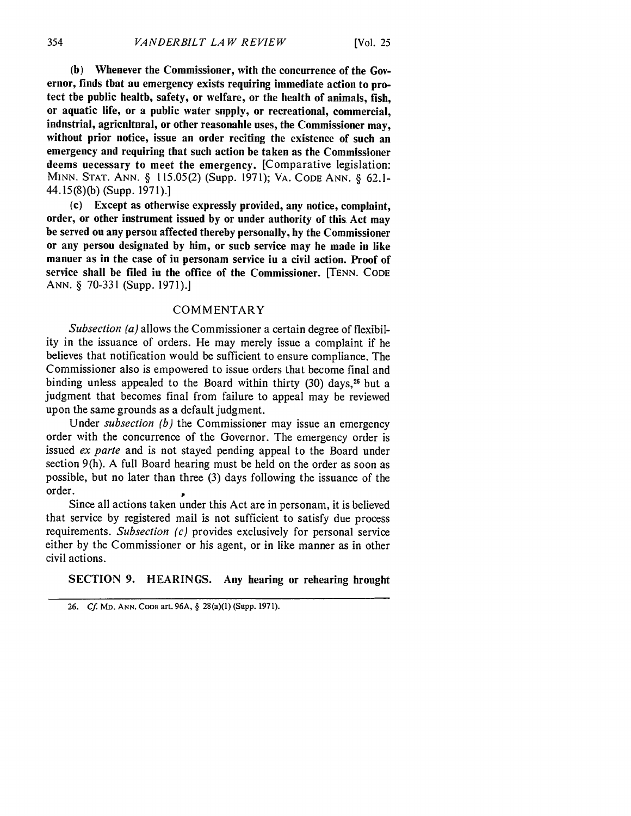**(b) Whenever the Commissioner, with the concurrence of the Governor, finds that an emergency exists requiring immediate action to protect the public health, safety, or welfare, or the health of animals, fish, or aquatic life, or a public water supply, or recreational, commercial, industrial, agricultural, or other reasonable uses, the Commissioner may, without prior notice, issue an order reciting the existence of such an emergency and requiring that such action be taken as the Commissioner deems necessary to meet the emergency. [Comparative legislation:** MINN. STAT. ANN. § 115.05(2) (Supp. **1971);** VA. CODE ANN. § **62.1-** 44.15(8)(b) (Supp. **1971).]**

(c) **Except as otherwise expressly provided, any notice, complaint, order, or other instrument issued by or under authority of this Act may be served on any person affected thereby personally, by the Commissioner or any person designated by him, or such service may be made in like manner as in the case of in personam service in a civil action. Proof of service shall be filed in the office of the Commissioner.** [TENN. **CODE ANN.** § **70-331 (Supp. 1971).]**

#### COMMENTARY

*Subsection (a)* allows the Commissioner a certain degree of flexibility in the issuance of orders. He may merely issue a complaint if he believes that notification would be sufficient to ensure compliance. The Commissioner also is empowered to issue orders that become final and binding unless appealed to the Board within thirty (30) days,<sup>26</sup> but a judgment that becomes final from failure to appeal may be reviewed upon the same grounds as a default judgment.

Under *subsection (b)* the Commissioner may issue an emergency order with the concurrence of the Governor. The emergency order is issued *ex parte* and is not stayed pending appeal to the Board under section 9(h). **A** full Board hearing must be held on the order as soon as possible, but no later than three **(3)** days following the issuance of the order.

Since all actions taken under this Act are in personam, it is believed that service by registered mail is not sufficient to satisfy due process requirements. *Subsection (c)* provides exclusively for personal service either by the Commissioner or his agent, or in like manner as in other civil actions.

## SECTION **9. HEARINGS.** Any hearing or rehearing brought

<sup>26.</sup> **Cf MD. ANN. CODE** art. **96A, §** 28(a)(1) (Supp. **1971).**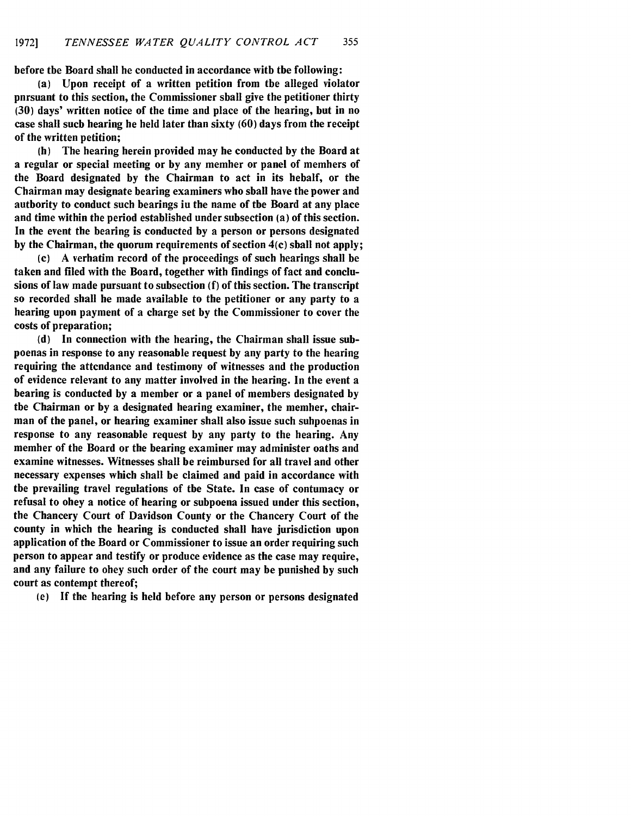before the Board shall be conducted in accordance with the following:

(a) Upon receipt of a written petition from the alleged violator pursuant to this section, the Commissioner shall give the petitioner thirty **(30)** days' written notice of the time and place of the hearing, but in no case shall such hearing be held later than sixty **(60)** days from the receipt of the written petition;

**(b)** The hearing herein provided may be conducted **by** the Board at a regular or special meeting or **by** any member or panel of members of the Board designated **by** the Chairman to act in its behalf, or the Chairman may designate hearing examiners who shall have the power and authority to conduct such hearings in the name of the Board at any place and time within the period established under subsection (a) of this section. In the event the hearing is conducted **by** a person or persons designated **by** the Chairman, the quorum requirements of section 4(c) shall not apply;

**(c) A** verbatim record of the proceedings of such hearings shall be taken and filed with the Board, together with findings of fact and conclusions of law made pursuant to subsection **(f)** of this section. The transcript so recorded shall be made available to the petitioner or any party to a hearing upon payment of a charge set **by** the Commissioner to cover the costs of preparation;

**(d)** In connection with the hearing, the Chairman shall issue subpoenas in response to any reasonable request **by** any party to the hearing requiring the attendance and testimony of witnesses and the production of evidence relevant to any matter involved in the hearing. In the event a hearing is conducted **by** a member or a panel of members designated **by** the Chairman or **by** a designated hearing examiner, the member, chairman of the panel, or hearing examiner shall also issue such subpoenas in response to any reasonable request **by** any party to the hearing. Any member of the Board or the hearing examiner may administer oaths and examine witnesses. Witnesses shall be reimbursed for all travel and other necessary expenses which shall be claimed and paid in accordance with the prevailing travel regulations of the State. In case of contumacy or refusal to obey a notice of hearing or subpoena issued under this section, the Chancery Court of Davidson County or the Chancery Court of the county in which the hearing is conducted shall have jurisdiction upon application of the Board or Commissioner to issue an order requiring such person to appear and testify or produce evidence as the case may require, and any failure to obey such order of the court may be punished **by** such court as contempt thereof;

(e) If the hearing is held before any person or persons designated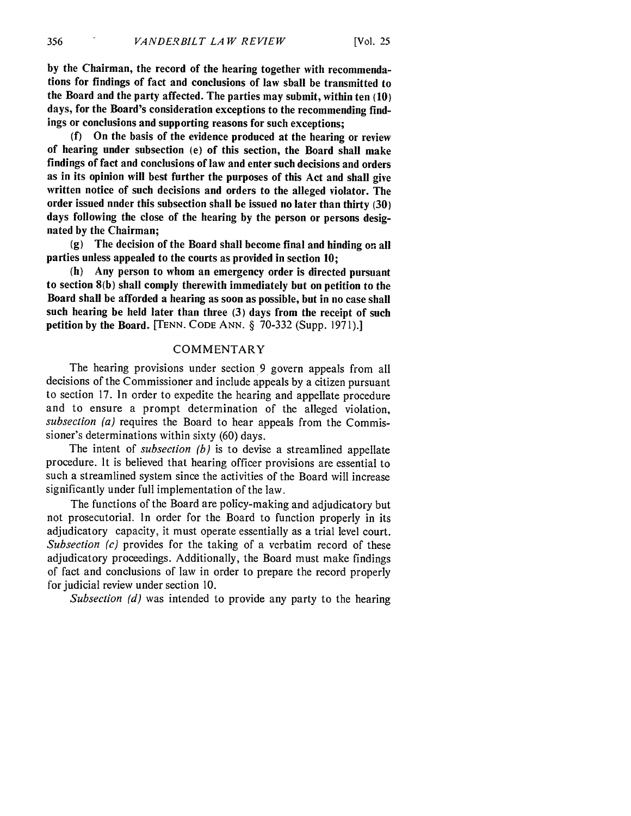**by** the Chairman, the record of the hearing together with recommendations for findings of fact and conclusions of law shall be transmitted to the Board and the party affected. The parties may submit, within ten **(10)** days, for the Board's consideration exceptions to the recommending findings or conclusions and supporting reasons for such exceptions;

(f) On the basis of the evidence produced at the hearing or review of hearing under subsection (e) of this section, the Board shall make findings of fact and conclusions of law and enter such decisions and orders as in its opinion will best further the purposes of this Act and shall give written notice of such decisions and orders to the alleged violator. The order issued under this subsection shall be issued no later than thirty **(30)** days following the close of the hearing by the person or persons designated **by** the Chairman;

(g) The decision of the Board shall become final and binding on all parties unless appealed to the courts as provided in section **10;**

(h) Any person to whom an emergency order is directed pursuant to section 8(b) shall comply therewith immediately but on petition to the Board shall be afforded a hearing as soon as possible, but in no case shall such hearing be held later than three (3) days from the receipt of such petition by the Board. [TENN. CODE ANN. § 70-332 (Supp. 1971).]

#### COMMENTARY

The hearing provisions under section 9 govern appeals from all decisions of the Commissioner and include appeals by a citizen pursuant to section 17. In order to expedite the hearing and appellate procedure and to ensure a prompt determination of the alleged violation, *subsection (a)* requires the Board to hear appeals from the Commissioner's determinations within sixty (60) days.

The intent of *subsection (b)* is to devise a streamlined appellate procedure. It is believed that hearing officer provisions are essential to such a streamlined system since the activities of the Board will increase significantly under full implementation of the law.

The functions of the Board are policy-making and adjudicatory but not prosecutorial. In order for the Board to function properly in its adjudicatory capacity, it must operate essentially as a trial level court. *Subsection (c)* provides for the taking of a verbatim record of these adjudicatory proceedings. Additionally, the Board must make findings of fact and conclusions of law in order to prepare the record properly for judicial review under section 10.

*Subsection (d)* was intended to provide any party to the hearing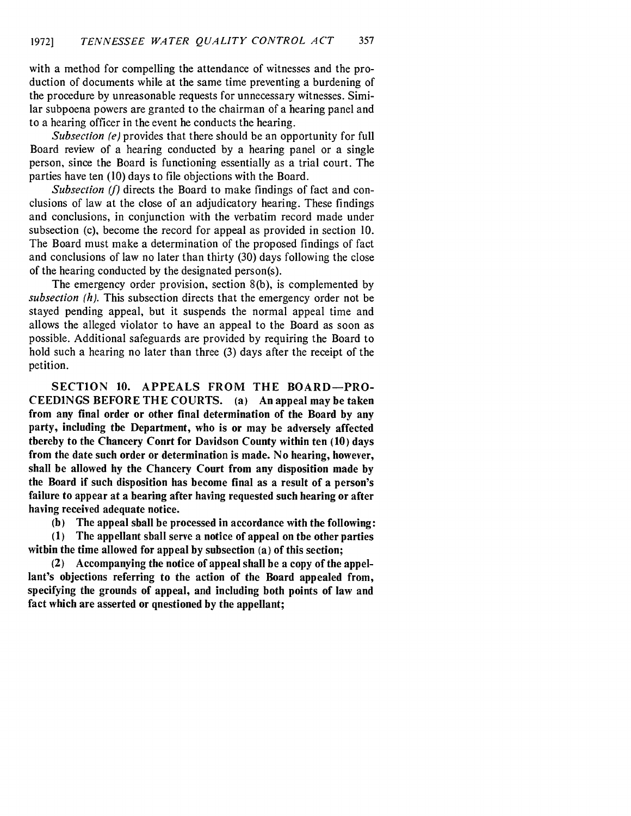with a method for compelling the attendance of witnesses and the production of documents while at the same time preventing a burdening of the procedure by unreasonable requests for unnecessary witnesses. Similar subpoena powers are granted to the chairman of a hearing panel and to a hearing officer in the event he conducts the hearing.

*Subsection (e)* provides that there should be an opportunity for full Board review of a hearing conducted by a hearing panel or a single person, since the Board is functioning essentially as a trial court. The parties have ten (10) days to file objections with the Board.

*Subsection (f)* directs the Board to make findings of fact and conclusions of law at the close of an adjudicatory hearing. These findings and conclusions, in conjunction with the verbatim record made under subsection (c), become the record for appeal as provided in section 10. The Board must make a determination of the proposed findings of fact and conclusions of law no later than thirty (30) days following the close of the hearing conducted by the designated person(s).

The emergency order provision, section 8(b), is complemented by *subsection (h).* This subsection directs that the emergency order not be stayed pending appeal, but it suspends the normal appeal time and allows the alleged violator to have an appeal to the Board as soon as possible. Additional safeguards are provided by requiring the Board to hold such a hearing no later than three (3) days after the receipt of the petition.

**SECTION 10. APPEALS FROM THE BOARD-PRO-CEEDINGS BEFORE THE COURTS. (a) An appeal may be taken from any final order or other final determination of the Board by any party, including the Department, who is or may be adversely affected** thereby to the Chancery Conrt for Davidson County within ten (10) days **from the date such order or determination is made. No hearing, however, shall be allowed by the Chancery Court from any disposition made by the Board if such disposition has become final as a result of a person's failure to appear at a hearing after having requested such hearing or after having received adequate notice.**

**(b) The appeal shall be processed in accordance with the following:**

**(1) The appellant shall serve a notice of appeal on the other parties within the time allowed for appeal by subsection (a) of this section;**

**(2) Accompanying the notice of appeal shall be a copy of the appellant's objections referring to the action of the Board appealed from, specifying the grounds of appeal, and including both points of law and fact which are asserted or questioned by the appellant;**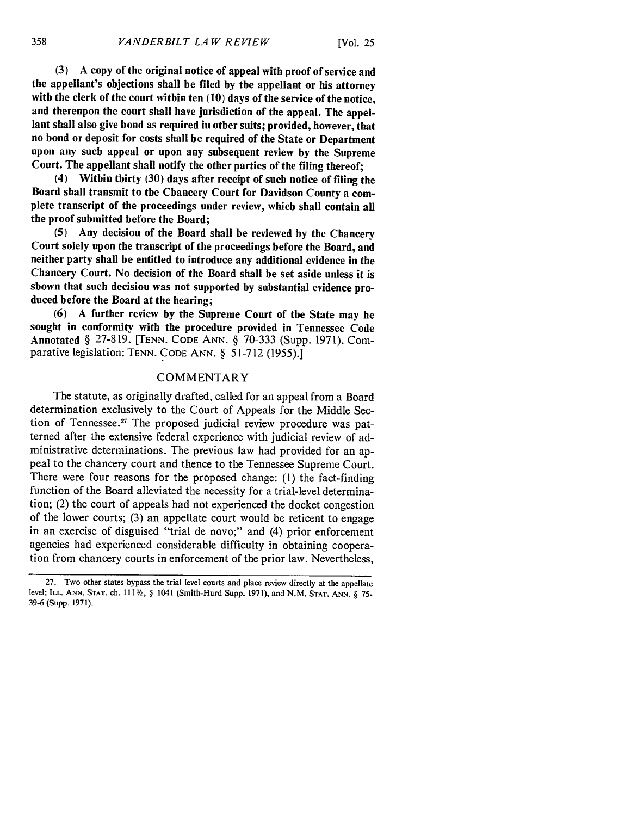[Vol. **25**

**(3) A** copy of the original notice of appeal with proof of service and the appellant's objections shall be filed **by** the appellant or his attorney with the clerk of the court within ten **(10)** days of the service of the notice, and therenpon the court shall have jurisdiction of the appeal. The appellant shall also give bond as required in other suits; provided, however, that no bond or deposit for costs shall be required of the State or Department upon any such appeal or upon any subsequent review **by** the Supreme Court. The appellant shall notify the other parties of the filing thereof;

(4) Within thirty **(30)** days after receipt of such notice of filing the Board shall transmit to the Chancery Court for Davidson County a complete transcript of the proceedings under review, which shall contain all the proof submitted before the Board;

**(5)** Any decision of the Board shall be reviewed **by** the Chancery Court solely upon the transcript of the proceedings before the Board, and neither party shall be entitled to introduce any additional evidence in the Chancery Court. No decision of the Board shall be set aside unless it is shown that such decision was not supported **by** substantial evidence produced before the Board at the hearing;

**(6) A** further review **by** the Supreme Court of the State may be sought in conformity with the procedure provided in Tennessee Code Annotated § 27-819. [TENN. CODE ANN. § 70-333 (Supp. 1971). Comparative legislation: TENN. CODE ANN. § 51-712 (1955).]

## COMMENTARY

The statute, as originally drafted, called for an appeal from a Board determination exclusively to the Court of Appeals for the Middle Section of Tennessee. $^{27}$  The proposed judicial review procedure was patterned after the extensive federal experience with judicial review of administrative determinations. The previous law had provided for an appeal to the chancery court and thence to the Tennessee Supreme Court. There were four reasons for the proposed change: (1) the fact-finding function of the Board alleviated the necessity for a trial-level determination; (2) the court of appeals had not experienced the docket congestion of the lower courts; (3) an appellate court would be reticent to engage in an exercise of disguised "trial de novo;" and (4) prior enforcement agencies had experienced considerable difficulty in obtaining cooperation from chancery courts in enforcement of the prior law. Nevertheless,

<sup>27.</sup> Two other states bypass the trial level courts and place review directly at the appellate level: **ILL. ANN. STAT.** ch. **111** , § 1041 (Smith-Hurd Supp. 1971), and N.M. **STAT. ANN.** § **75-** 39-6 (Supp. 1971).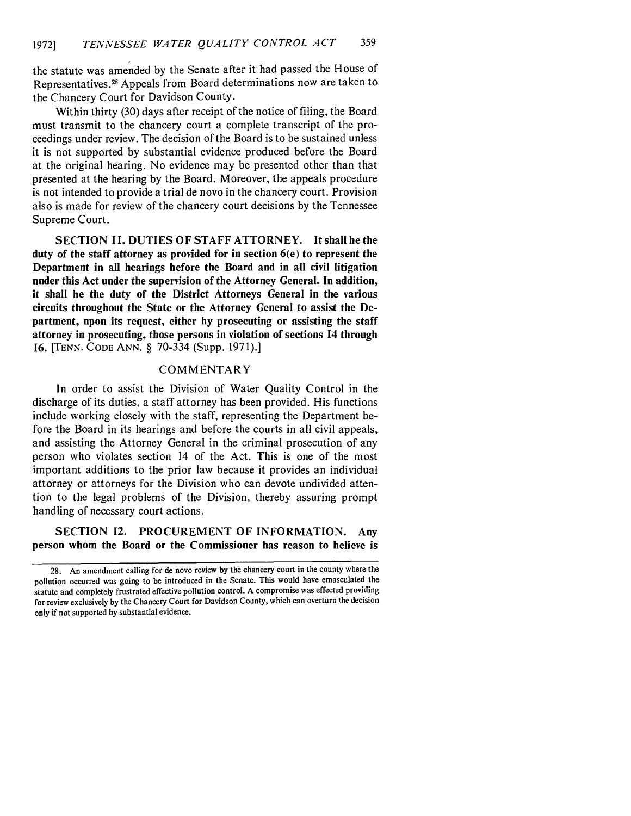the statute was amended by the Senate after it had passed the House of Representatives.<sup>28</sup> Appeals from Board determinations now are taken to the Chancery Court for Davidson County.

Within thirty (30) days after receipt of the notice of filing, the Board must transmit to the chancery court a complete transcript of the proceedings under review. The decision of the Board is to be sustained unless it is not supported by substantial evidence produced before the Board at the original hearing. No evidence may be presented other than that presented at the hearing by the Board. Moreover, the appeals procedure is not intended to provide a trial de novo in the chancery court. Provision also is made for review of the chancery court decisions by the Tennessee Supreme Court.

**SECTION 11. DUTIES** OF **STAFF** ATTORNEY. It shall be the **duty of the staff attorney as provided for in section 6(e) to represent the Department in all hearings before the Board and in all civil litigation under this Act under the supervision of the Attorney General. In addition, it shall be the duty of the District Attorneys General in the various circuits throughout the State or the Attorney General to assist the Department, upon its request, either by prosecuting or assisting the staff attorney in prosecuting, those persons in violation of sections 14 through 16.** [TENN. **CODE ANN.** § **70-334** (Supp. **1971).]**

#### COMMENTARY

In order to assist the Division of Water Quality Control in the discharge of its duties, a staff attorney has been provided. His functions include working closely with the staff, representing the Department before the Board in its hearings and before the courts in all civil appeals, and assisting the Attorney General in the criminal prosecution of any person who violates section 14 of the Act. This is one of the most important additions to the prior law because it provides an individual attorney or attorneys for the Division who can devote undivided attention to the legal problems of the Division, thereby assuring prompt handling of necessary court actions.

**SECTION 12. PROCUREMENT OF INFORMATION. Any person whom the Board or the Commissioner has reason to believe is**

**<sup>28.</sup>** An amendment calling for de novo review **by** the chancery court in the county where the pollution occurred was going to be introduced in the Senate. This would have emasculated the statute and completely frustrated effective pollution control. **A** compromise was effected providing for review exclusively **by** the Chancery Court for Davidson County, which can overturn the decision only if not supported **by** substantial evidence.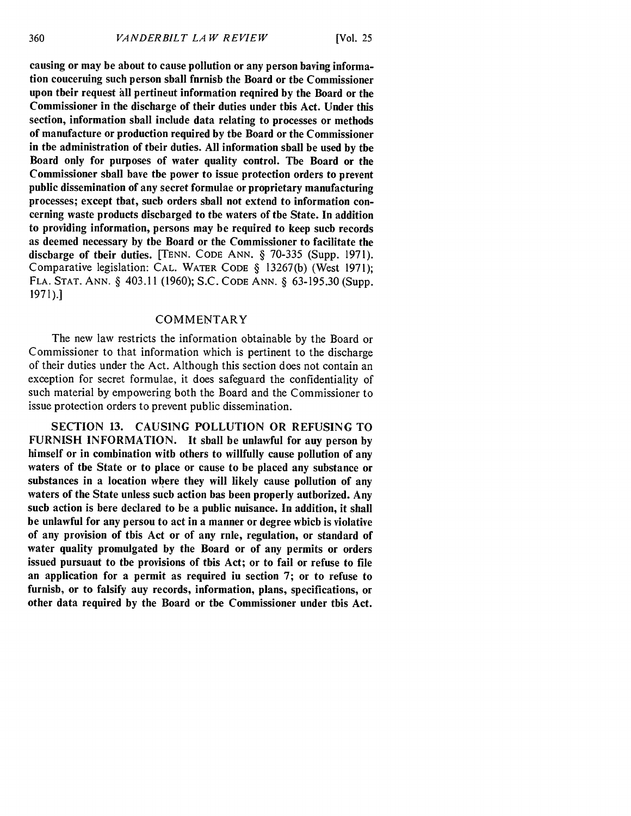causing or may be about to cause pollution or any person having information concerning such person shall furnish the Board or the Commissioner upon their request **all** pertinent information required **by** the Board or the Commissioner in the discharge of their duties under this Act. Under this section, information shall include data relating to processes or methods of manufacture or production required **by** the Board or the Commissioner in the administration of their duties. **All** information shall be used **by** the Board only for purposes of water quality control. The Board or the Commissioner shall have the power to issue protection orders to prevent public dissemination of any secret formulae or proprietary manufacturing processes; except that, such orders shall not extend to information concerning waste products discharged to the waters of the State. In addition to providing information, persons may be required to keep such records as deemed necessary **by** the Board or the Commissioner to facilitate the discbarge of their duties. [TENN. CODE ANN. § 70-335 (Supp. 1971). Comparative legislation: CAL. WATER CODE § 13267(b) (West 1971); FLA. STAT. ANN. § 403.11 (1960); S.C. CODE ANN. § 63-195.30 (Supp. 1971).]

## **COMMENTARY**

The new law restricts the information obtainable by the Board or Commissioner to that information which is pertinent to the discharge of their duties under the Act. Although this section does not contain an exception for secret formulae, it does safeguard the confidentiality of such material by empowering both the Board and the Commissioner to issue protection orders to prevent public dissemination.

SECTION 13. CAUSING POLLUTION OR REFUSING TO FURNISH INFORMATION. It shall be unlawful for any person **by** himself or in combination with others to willfully cause pollution of any waters of the State or to place or cause to be placed any substance or substances in a location where they will likely cause pollution of any waters of the State unless such action has been properly authorized. Any such action is here declared to be a public nuisance. In addition, it shall be unlawful for any person to act in a manner or degree which is violative of any provision of this Act or of any rule, regulation, or standard of water quality promulgated **by** the Board or of any permits or orders issued pursuant to the provisions of this Act; or to fail or refuse to file an application for a permit as required in section 7; or to refuse to furnisb, or to falsify auy records, information, plans, specifications, or other data required **by** the Board or the Commissioner under this Act.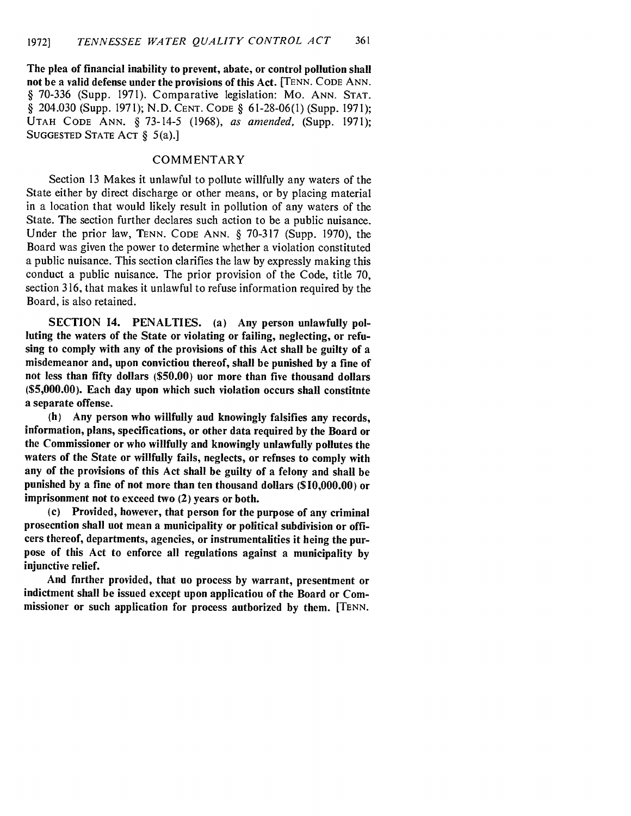The plea of financial inability to prevent, abate, or control pollution shall not be a valid defense under the provisions of this Act. **[TENN. CODE ANN.** § **70-336** (Supp. **1971).** Comparative legislation: Mo. ANN. **STAT.** § 204.030 (Supp. **1971); N.D. CENT. CODE** § **61-28-06(1)** (Supp. **1971); UTAH CODE** ANN. § **73-14-5 (1968),** *as amended,* (Supp. **1971);** SUGGESTED STATE ACT § 5(a).]

## COMMENTARY

Section 13 Makes it unlawful to pollute willfully any waters of the State either by direct discharge or other means, or by placing material in a location that would likely result in pollution of any waters of the State. The section further declares such action to be a public nuisance. Under the prior law, TENN. CODE ANN. § 70-317 (Supp. 1970), the Board was given the power to determine whether a violation constituted a public nuisance. This section clarifies the law by expressly making this conduct a public nuisance. The prior provision of the Code, title 70, section 316, that makes it unlawful to refuse information required by the Board, is also retained.

SECTION 14. PENALTIES. (a) Any person unlawfully polluting the waters of the State or violating or failing, neglecting, or refusing to comply with any of the provisions of this Act shall be guilty of a misdemeanor and, upon conviction thereof, shall be punished **by** a fine of not less than **fifty** dollars **(\$50.00)** nor more than five thousand dollars **(\$5,000.00).** Each day upon which such violation occurs shall constitute a separate offense.

**(b)** Any person who willfully and knowingly falsifies any records, information, plans, specifications, or other data required **by** the Board or the Commissioner or who willfully and knowingly unlawfully pollutes the waters of the State or willfully fails, neglects, or refnses to comply with any of the provisions of this Act shall be guilty of a felony and shall be punished **by** a fine of not more than ten thousand dollars **(\$10,000.00)** or imprisonment not to exceed two (2) years or both.

(c) Provided, however, that person for the purpose of any criminal prosecntion shall uot mean a municipality or political subdivision or officers thereof, departments, agencies, or instrumentalities it being the purpose of this Act to enforce all regulations against a municipality **by** injunctive relief.

And fnrther provided, that uo process by warrant, presentment or indictment shall be issued except upon application of the Board or Commissioner or such application for process authorized **by** them. [TENN.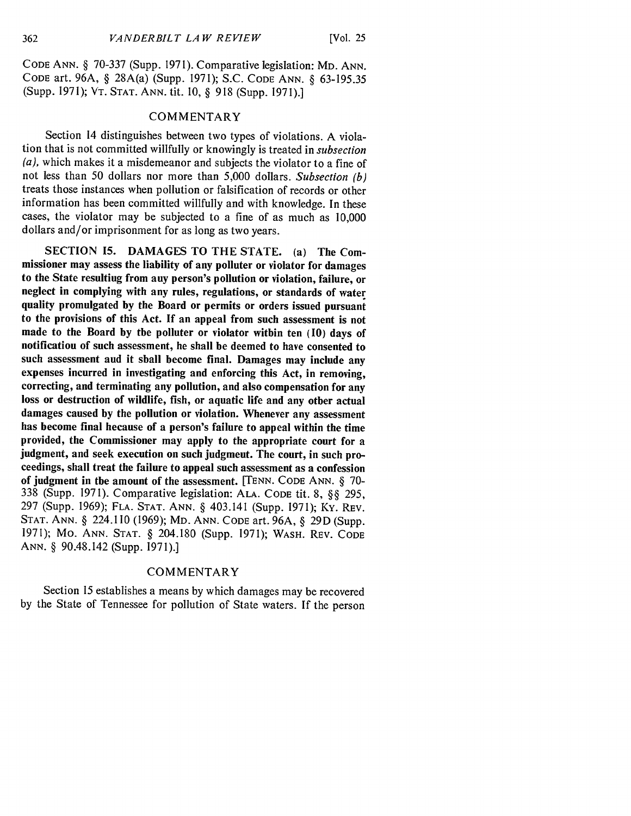CODE ANN. § 70-337 (Supp. 1971). Comparative legislation: MD. ANN. CODE art. 96A, § 28A(a) (Supp. 1971); S.C. CODE ANN. § 63-195.35 (Supp. 1971); VT. STAT. ANN. tit. 10, § 918 (Supp. 1971).]

## COMMENTARY

Section 14 distinguishes between two types of violations. A violation that is not committed willfully or knowingly is treated in *subsection*  $(a)$ , which makes it a misdemeanor and subjects the violator to a fine of not less than 50 dollars nor more than 5,000 dollars. *Subsection (b)* treats those instances when pollution or falsification of records or other information has been committed willfully and with knowledge. In these cases, the violator may be subjected to a fine of as much as 10,000 dollars and/or imprisonment for as long as two years.

SECTION 15. DAMAGES TO THE STATE. (a) The Commissioner may assess the liability of any polluter or violator for damages to the State resulting from any person's pollution or violation, failure, or neglect in complying with any rules, regulations, or standards of water quality promulgated by the Board or permits or orders issued pursuant to the provisions of this Act. If an appeal from such assessment is not made to the Board by the polluter or violator within ten (10) days of notification of such assessment, he shall be deemed to have consented to such assessment and it shall become final. Damages may include any expenses incurred in investigating and enforcing this Act, in removing, correcting, and terminating any pollution, and also compensation for any loss or destruction of wildlife, fish, or aquatic life and any other actual damages caused by the pollution or violation. Whenever any assessment has become final hecause of a person's failure to appeal within the time provided, the Commissioner may apply to the appropriate court for a judgment, and seek execution on such judgment. The court, in such proceedings, shall treat the failure to appeal such assessment as a confession of judgment in the amount of the assessment. [TENN. CODE ANN. § **70-** 338 (Supp. 1971). Comparative legislation: ALA. CODE tit. 8, §§ 295, 297 (Supp. 1969); FLA. STAT. ANN. § 403.141 (Supp. 1971); Ky. REV. STAT. ANN. § 224.110 (1969); MD. ANN. CODE art. 96A, § 29D (Supp. 1971); Mo. ANN. STAT. § 204.180 (Supp. 1971); WASH. REV. CODE ANN. § 90.48.142 (Supp. 1971).]

## COMMENTARY

Section 15 establishes a means by which damages may be recovered by the State of Tennessee for pollution of State waters. If the person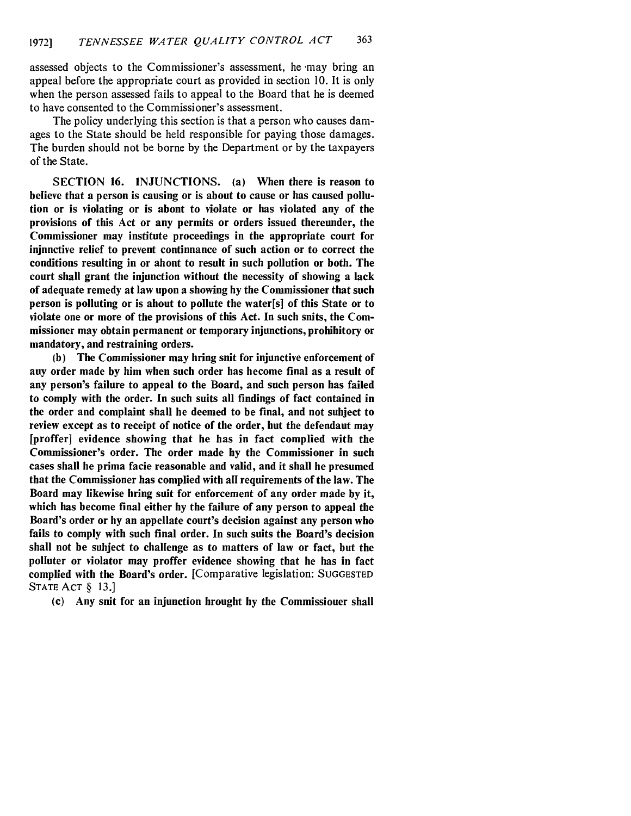assessed objects to the Commissioner's assessment, he may bring an appeal before the appropriate court as provided in section 10. It is only when the person assessed fails to appeal to the Board that he is deemed to have consented to the Commissioner's assessment.

The policy underlying this section is that a person who causes damages to the State should be held responsible for paying those damages. The burden should not be borne by the Department or by the taxpayers of the State.

SECTION **16. INJUNCTIONS.** (a) When there is reason to believe that a person is causing or is about to cause or has caused pollution or is violating or is abont to violate or has violated any of the provisions of this Act or any permits or orders issued thereunder, the Commissioner may institute proceedings in the appropriate court for injunctive relief to prevent continuance of such action or to correct the conditions resulting in or ahont to result in such pollution or both. The court shall grant the injunction without the necessity of showing a lack of adequate remedy at law upon a showing **by** the Commissioner that such person is polluting or is about to pollute the water[s] of this State or to violate one or more of the provisions of this Act. In such suits, the Commissioner may obtain permanent or temporary injunctions, prohibitory or mandatory, and restraining orders.

**(b)** The Commissioner may bring suit for injunctive enforcement of any order made **by** him when such order has become final as a result of any person's failure to appeal to the Board, and such person has failed to comply with the order. In such suits all findings of fact contained in the order and complaint shall be deemed to be final, and not subject to review except as to receipt of notice of the order, but the defendant may [proffer] evidence showing that he has in fact complied with the Commissioner's order. The order made **by** the Commissioner in such cases shall be prima facie reasonable and valid, and it shall be presumed that the Commissioner has complied with all requirements of the law. The Board may likewise bring suit for enforcement of any order made **by** it, which has become final either **by** the failure of any person to appeal the Board's order or **by** an appellate court's decision against any person who fails to comply with such final order. In such suits the Board's decision shall not be subject to challenge as to matters of law or fact, but the polluter or violator may proffer evidence showing that he has in fact complied with the Board's order. [Comparative legislation: SUGGESTED STATE **ACT** § 13.]

(c) Any suit for an injunction brought **by** the Commissioner shall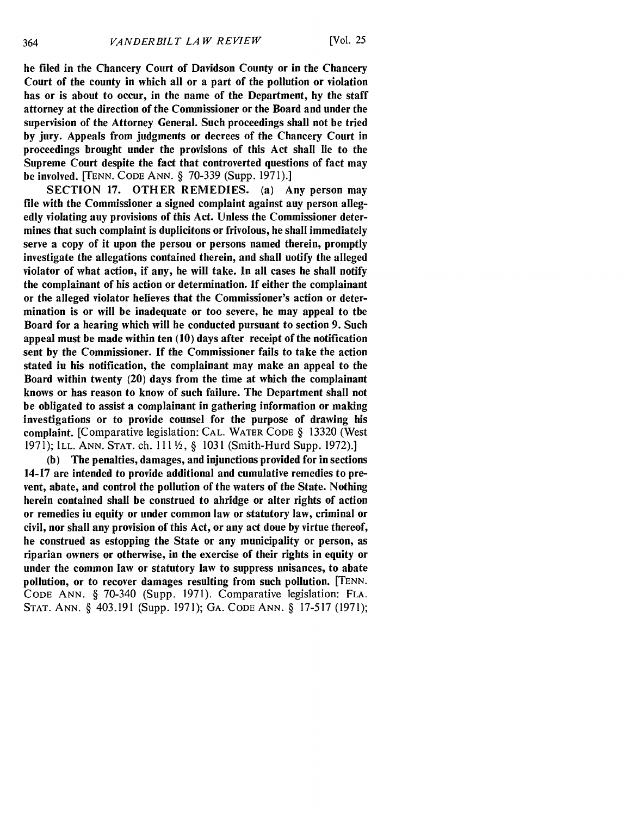be filed in the Chancery Court of Davidson County or in the Chancery Court of the county in which all or a part of the pollution or violation has or is about to occur, in the name of the Department, **by** the staff attorney at the direction of the Commissioner or the Board and under the supervision of the Attorney General. Such proceedings shall not **be** tried **by** jury. Appeals from judgments or decrees of the Chancery Court in proceedings brought under the provisions of this Act shall lie to the Supreme Court despite the fact that controverted questions of fact may be involved. [TENN. CODE ANN. § 70-339 (Supp. 1971).]

SECTION 17. OTHER REMEDIES. (a) Any person may file with the Commissioner a signed complaint against auy person allegedly violating any provisions of this Act. Unless the Commissioner determines that such complaint is duplicitons or frivolous, he shall immediately serve a copy of it upon the persou or persons named therein, promptly investigate the allegations contained therein, and shall notify the alleged violator of what action, if any, he will take. In all cases he shall notify the complainant of his action or determination. If either the complainant or the alleged violator believes that the Commissioner's action or determination is or will be inadequate or too severe, he may appeal to the Board for a hearing which will be conducted pursuant to section 9. Such appeal must be made within ten (10) days after receipt of the notification sent **by** the Commissioner. If the Commissioner fails to take the action stated in his notification, the complainant may make an appeal to the Board within twenty (20) days from the time at which the complainant knows or has reason to know of such failure. The Department shall not be obligated to assist a complainant in gathering information or making investigations or to provide counsel for the purpose of drawing his complaint. [Comparative legislation: CAL. WATER CODE § 13320 (West 1971); ILL. ANN. STAT. ch. **111** 2, § 1031 (Smith-Hurd Supp. 1972).]

(b) The penalties, damages, and injunctions provided for in sections 14-17 are intended to provide additional and cumulative remedies to prevent, abate, and control the pollution of the waters of the State. Nothing herein contained shall be construed to abridge or alter rights of action or remedies in equity or under common law or statutory law, criminal or civil, nor shall any provision of this Act, or any act done **by** virtue thereof, be construed as estopping the State or any municipality or person, as riparian owners or otherwise, in the exercise of their rights in equity or under the common law or statutory law to suppress nuisances, to abate pollution, or to recover damages resulting from such pollution. [TENN. CODE ANN. § 70-340 (Supp. 1971). Comparative legislation: FLA. STAT. ANN. § 403.191 (Supp. 1971); GA. CODE ANN. § 17-517 (1971);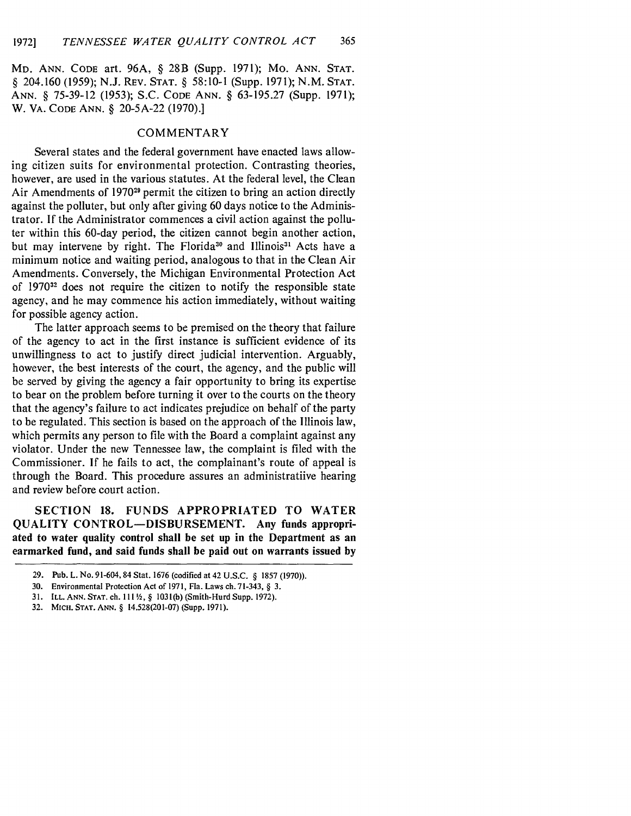MD. ANN. CODE art. 96A, § 28B (Supp. 1971); Mo. ANN. STAT. § 204.160 (1959); N.J. REV. STAT. § **58:10-1** (Supp. 1971); N.M. STAT. ANN. § 75-39-12 (1953); S.C. CODE ANN. § 63-195.27 (Supp. 1971); W. VA. CODE ANN. § 20-5A-22 (1970).]

## COMMENTARY

Several states and the federal government have enacted laws allowing citizen suits for environmental protection. Contrasting theories, however, are used in the various statutes. At the federal level, the Clean Air Amendments of 1970<sup>29</sup> permit the citizen to bring an action directly against the polluter, but only after giving 60 days notice to the Administrator. If the Administrator commences a civil action against the polluter within this 60-day period, the citizen cannot begin another action, but may intervene by right. The Florida<sup>30</sup> and Illinois<sup>31</sup> Acts have a minimum notice and waiting period, analogous to that in the Clean Air Amendments. Conversely, the Michigan Environmental Protection Act of 197032 does not require the citizen to notify the responsible state agency, and he may commence his action immediately, without waiting for possible agency action.

The latter approach seems to be premised on the theory that failure of the agency to act in the first instance is sufficient evidence of its unwillingness to act to justify direct judicial intervention. Arguably, however, the best interests of the court, the agency, and the public will be served by giving the agency a fair opportunity to bring its expertise to bear on the problem before turning it over to the courts on the theory that the agency's failure to act indicates prejudice on behalf of the party to be regulated. This section is based on the approach of the Illinois law, which permits any person to file with the Board a complaint against any violator. Under the new Tennessee law, the complaint is filed with the Commissioner. If he fails to act, the complainant's route of appeal is through the Board. This procedure assures an administratiive hearing and review before court action.

**SECTION 18. FUNDS** APPROPRIATED TO WATER **QUALITY CONTROL-DISBURSEMENT. Any funds appropriated to water quality control shall be set up in the Department as an earmarked fund, and said funds shall be paid out on warrants issued by**

- **30.** Environmental Protection Act of **1971,** Fla. Laws ch. **71-343,** § **3.**
- **31. ILL. ANN.** STAT. **ch. 111 ,** § 1031(b) (Smith-Hurd Supp. 1972).
- **32.** MICH. STAT. ANN. § 14.528(201-07) (Supp. 1971).

**<sup>29.</sup>** Pub. L. No. 91-604, 84 Stat. **1676** (codified at42 **U.S.C.** § **1857 (1970)).**